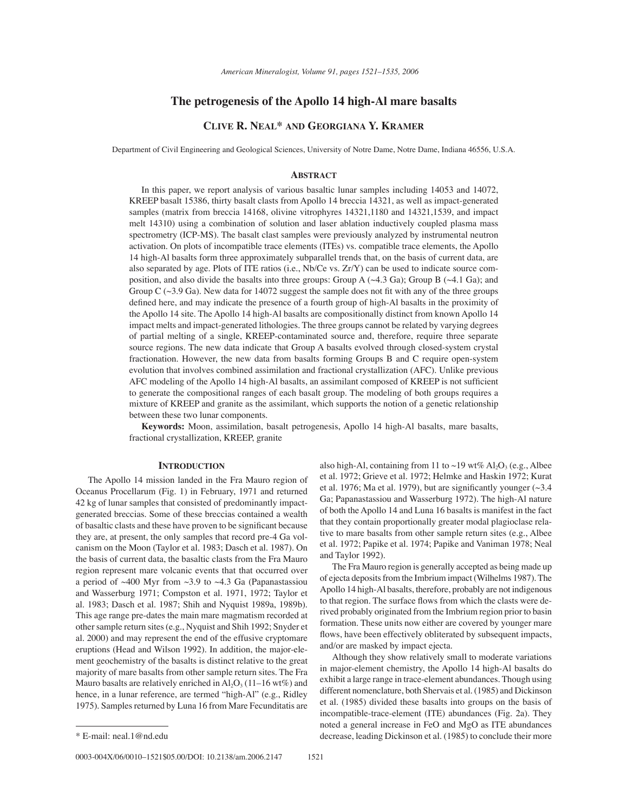# **The petrogenesis of the Apollo 14 high-Al mare basalts**

# **CLIVE R. NEAL\* AND GEORGIANA Y. KRAMER**

Department of Civil Engineering and Geological Sciences, University of Notre Dame, Notre Dame, Indiana 46556, U.S.A.

### **ABSTRACT**

In this paper, we report analysis of various basaltic lunar samples including 14053 and 14072, KREEP basalt 15386, thirty basalt clasts from Apollo 14 breccia 14321, as well as impact-generated samples (matrix from breccia 14168, olivine vitrophyres 14321,1180 and 14321,1539, and impact melt 14310) using a combination of solution and laser ablation inductively coupled plasma mass spectrometry (ICP-MS). The basalt clast samples were previously analyzed by instrumental neutron activation. On plots of incompatible trace elements (ITEs) vs. compatible trace elements, the Apollo 14 high-Al basalts form three approximately subparallel trends that, on the basis of current data, are also separated by age. Plots of ITE ratios (i.e., Nb/Ce vs. Zr/Y) can be used to indicate source composition, and also divide the basalts into three groups: Group A  $(\sim 4.3 \text{ Ga})$ ; Group B  $(\sim 4.1 \text{ Ga})$ ; and Group C  $(\sim 3.9 \text{ Ga})$ . New data for 14072 suggest the sample does not fit with any of the three groups defined here, and may indicate the presence of a fourth group of high-Al basalts in the proximity of the Apollo 14 site. The Apollo 14 high-Al basalts are compositionally distinct from known Apollo 14 impact melts and impact-generated lithologies. The three groups cannot be related by varying degrees of partial melting of a single, KREEP-contaminated source and, therefore, require three separate source regions. The new data indicate that Group A basalts evolved through closed-system crystal fractionation. However, the new data from basalts forming Groups B and C require open-system evolution that involves combined assimilation and fractional crystallization (AFC). Unlike previous AFC modeling of the Apollo 14 high-Al basalts, an assimilant composed of KREEP is not sufficient to generate the compositional ranges of each basalt group. The modeling of both groups requires a mixture of KREEP and granite as the assimilant, which supports the notion of a genetic relationship between these two lunar components.

**Keywords:** Moon, assimilation, basalt petrogenesis, Apollo 14 high-Al basalts, mare basalts, fractional crystallization, KREEP, granite

# **INTRODUCTION**

The Apollo 14 mission landed in the Fra Mauro region of Oceanus Procellarum (Fig. 1) in February, 1971 and returned 42 kg of lunar samples that consisted of predominantly impactgenerated breccias. Some of these breccias contained a wealth of basaltic clasts and these have proven to be significant because they are, at present, the only samples that record pre-4 Ga volcanism on the Moon (Taylor et al. 1983; Dasch et al. 1987). On the basis of current data, the basaltic clasts from the Fra Mauro region represent mare volcanic events that that occurred over a period of  $~400$  Myr from  $~3.9$  to  $~4.3$  Ga (Papanastassiou and Wasserburg 1971; Compston et al. 1971, 1972; Taylor et al. 1983; Dasch et al. 1987; Shih and Nyquist 1989a, 1989b). This age range pre-dates the main mare magmatism recorded at other sample return sites (e.g., Nyquist and Shih 1992; Snyder et al. 2000) and may represent the end of the effusive cryptomare eruptions (Head and Wilson 1992). In addition, the major-element geochemistry of the basalts is distinct relative to the great majority of mare basalts from other sample return sites. The Fra Mauro basalts are relatively enriched in  $Al_2O_3(11-16 \text{ wt\%})$  and hence, in a lunar reference, are termed "high-Al" (e.g., Ridley 1975). Samples returned by Luna 16 from Mare Fecunditatis are

0003-004X/06/0010-1521\$05.00/DOI: 10.2138/am.2006.2147 1521

The Fra Mauro region is generally accepted as being made up of ejecta deposits from the Imbrium impact (Wilhelms 1987). The Apollo 14 high-Al basalts, therefore, probably are not indigenous to that region. The surface flows from which the clasts were derived probably originated from the Imbrium region prior to basin formation. These units now either are covered by younger mare flows, have been effectively obliterated by subsequent impacts, and/or are masked by impact ejecta.

Although they show relatively small to moderate variations in major-element chemistry, the Apollo 14 high-Al basalts do exhibit a large range in trace-element abundances. Though using different nomenclature, both Shervais et al. (1985) and Dickinson et al. (1985) divided these basalts into groups on the basis of incompatible-trace-element (ITE) abundances (Fig. 2a). They noted a general increase in FeO and MgO as ITE abundances \* E-mail: neal.1@nd.edu decrease, leading Dickinson et al. (1985) to conclude their more

also high-Al, containing from 11 to ~19 wt%  $Al_2O_3$  (e.g., Albee et al. 1972; Grieve et al. 1972; Helmke and Haskin 1972; Kurat et al. 1976; Ma et al. 1979), but are significantly younger  $(\sim]3.4$ Ga; Papanastassiou and Wasserburg 1972). The high-Al nature of both the Apollo 14 and Luna 16 basalts is manifest in the fact that they contain proportionally greater modal plagioclase relative to mare basalts from other sample return sites (e.g., Albee et al. 1972; Papike et al. 1974; Papike and Vaniman 1978; Neal and Taylor 1992).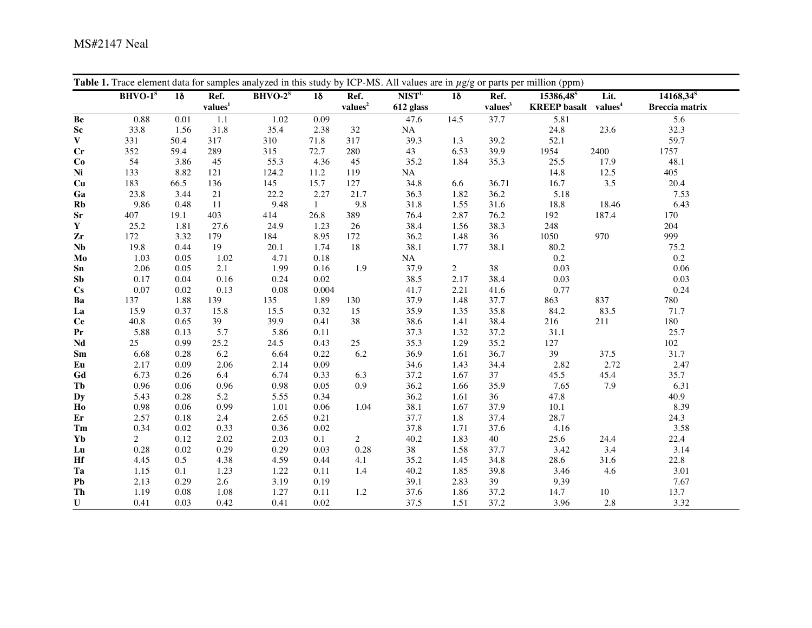|                        | $BHVO-1^s$     | $1\delta$ | Ref.              | $BHVO-2^s$ | $1\delta$    | Ref.              | NIST <sup>L</sup> | $1\delta$      | Ref.                | 15386,48 <sup>S</sup>                   | Lit.    | $14168,34^{8}$        |
|------------------------|----------------|-----------|-------------------|------------|--------------|-------------------|-------------------|----------------|---------------------|-----------------------------------------|---------|-----------------------|
|                        |                |           | $\bold{values}^1$ |            |              | $\bold{values}^2$ | 612 glass         |                | values <sup>3</sup> | <b>KREEP</b> basalt values <sup>4</sup> |         | <b>Breccia</b> matrix |
| Be                     | 0.88           | 0.01      | $1.1\,$           | 1.02       | 0.09         |                   | 47.6              | 14.5           | 37.7                | 5.81                                    |         | 5.6                   |
| ${\bf Sc}$             | 33.8           | 1.56      | 31.8              | 35.4       | 2.38         | 32                | NA                |                |                     | 24.8                                    | 23.6    | 32.3                  |
| $\mathbf{V}$           | 331            | 50.4      | 317               | 310        | 71.8         | 317               | 39.3              | 1.3            | 39.2                | 52.1                                    |         | 59.7                  |
| $C_{r}$                | 352            | 59.4      | 289               | 315        | 72.7         | 280               | 43                | 6.53           | 39.9                | 1954                                    | 2400    | 1757                  |
| Co                     | 54             | 3.86      | 45                | 55.3       | 4.36         | 45                | 35.2              | 1.84           | 35.3                | 25.5                                    | 17.9    | 48.1                  |
| Ni                     | 133            | 8.82      | 121               | 124.2      | 11.2         | 119               | NA                |                |                     | 14.8                                    | 12.5    | 405                   |
| Cu                     | 183            | 66.5      | 136               | 145        | 15.7         | 127               | 34.8              | 6.6            | 36.71               | 16.7                                    | $3.5\,$ | 20.4                  |
| Ga                     | 23.8           | 3.44      | 21                | 22.2       | 2.27         | 21.7              | 36.3              | 1.82           | 36.2                | 5.18                                    |         | 7.53                  |
| Rb                     | 9.86           | 0.48      | 11                | 9.48       | $\mathbf{1}$ | 9.8               | 31.8              | 1.55           | 31.6                | 18.8                                    | 18.46   | 6.43                  |
| $S_{r}$                | 407            | 19.1      | 403               | 414        | 26.8         | 389               | 76.4              | 2.87           | 76.2                | 192                                     | 187.4   | 170                   |
| $\mathbf Y$            | 25.2           | 1.81      | 27.6              | 24.9       | 1.23         | 26                | 38.4              | 1.56           | 38.3                | 248                                     |         | 204                   |
| Zr                     | 172            | 3.32      | 179               | 184        | 8.95         | 172               | 36.2              | 1.48           | 36                  | 1050                                    | 970     | 999                   |
| <b>Nb</b>              | 19.8           | 0.44      | 19                | 20.1       | 1.74         | 18                | 38.1              | 1.77           | 38.1                | 80.2                                    |         | 75.2                  |
| Mo                     | 1.03           | 0.05      | 1.02              | 4.71       | 0.18         |                   | NA                |                |                     | 0.2                                     |         | 0.2                   |
| S <sub>n</sub>         | 2.06           | 0.05      | 2.1               | 1.99       | 0.16         | 1.9               | 37.9              | $\overline{2}$ | 38                  | 0.03                                    |         | 0.06                  |
| Sb                     | 0.17           | 0.04      | 0.16              | 0.24       | $0.02\,$     |                   | 38.5              | 2.17           | 38.4                | 0.03                                    |         | 0.03                  |
| $\mathbf{C}\mathbf{s}$ | 0.07           | 0.02      | 0.13              | 0.08       | 0.004        |                   | 41.7              | 2.21           | 41.6                | 0.77                                    |         | 0.24                  |
| Ba                     | 137            | 1.88      | 139               | 135        | 1.89         | 130               | 37.9              | 1.48           | 37.7                | 863                                     | 837     | 780                   |
| La                     | 15.9           | 0.37      | 15.8              | 15.5       | 0.32         | 15                | 35.9              | 1.35           | 35.8                | 84.2                                    | 83.5    | 71.7                  |
| <b>Ce</b>              | 40.8           | 0.65      | 39                | 39.9       | 0.41         | $38\,$            | 38.6              | 1.41           | 38.4                | 216                                     | 211     | 180                   |
| Pr                     | 5.88           | 0.13      | 5.7               | 5.86       | 0.11         |                   | 37.3              | 1.32           | 37.2                | 31.1                                    |         | 25.7                  |
| Nd                     | 25             | 0.99      | 25.2              | 24.5       | 0.43         | $25\,$            | 35.3              | 1.29           | 35.2                | 127                                     |         | 102                   |
| Sm                     | 6.68           | 0.28      | 6.2               | 6.64       | 0.22         | 6.2               | 36.9              | 1.61           | 36.7                | 39                                      | 37.5    | 31.7                  |
| Eu                     | 2.17           | 0.09      | 2.06              | 2.14       | 0.09         |                   | 34.6              | 1.43           | 34.4                | 2.82                                    | 2.72    | 2.47                  |
| Gd                     | 6.73           | 0.26      | 6.4               | 6.74       | 0.33         | 6.3               | 37.2              | 1.67           | 37                  | 45.5                                    | 45.4    | 35.7                  |
| Tb                     | 0.96           | 0.06      | 0.96              | 0.98       | 0.05         | 0.9               | 36.2              | 1.66           | 35.9                | 7.65                                    | 7.9     | 6.31                  |
| <b>Dy</b>              | 5.43           | 0.28      | 5.2               | 5.55       | 0.34         |                   | 36.2              | 1.61           | 36                  | 47.8                                    |         | 40.9                  |
| Ho                     | 0.98           | 0.06      | 0.99              | 1.01       | 0.06         | 1.04              | 38.1              | 1.67           | 37.9                | 10.1                                    |         | 8.39                  |
| Er                     | 2.57           | 0.18      | 2.4               | 2.65       | 0.21         |                   | 37.7              | 1.8            | 37.4                | 28.7                                    |         | 24.3                  |
| Tm                     | 0.34           | 0.02      | 0.33              | 0.36       | 0.02         |                   | 37.8              | 1.71           | 37.6                | 4.16                                    |         | 3.58                  |
| Yb                     | $\overline{2}$ | 0.12      | 2.02              | 2.03       | 0.1          | $\overline{c}$    | 40.2              | 1.83           | 40                  | 25.6                                    | 24.4    | 22.4                  |
| Lu                     | 0.28           | 0.02      | 0.29              | 0.29       | 0.03         | 0.28              | $38\,$            | 1.58           | 37.7                | 3.42                                    | 3.4     | 3.14                  |
| Hf                     | 4.45           | 0.5       | 4.38              | 4.59       | 0.44         | 4.1               | 35.2              | 1.45           | 34.8                | 28.6                                    | 31.6    | 22.8                  |
| Ta                     | 1.15           | 0.1       | 1.23              | 1.22       | 0.11         | 1.4               | 40.2              | 1.85           | 39.8                | 3.46                                    | 4.6     | 3.01                  |
| Pb                     | 2.13           | 0.29      | 2.6               | 3.19       | 0.19         |                   | 39.1              | 2.83           | 39                  | 9.39                                    |         | 7.67                  |
| Th                     | 1.19           | 0.08      | 1.08              | 1.27       | 0.11         | 1.2               | 37.6              | 1.86           | 37.2                | 14.7                                    | $10\,$  | 13.7                  |
| U                      | 0.41           | 0.03      | 0.42              | 0.41       | 0.02         |                   | 37.5              | 1.51           | 37.2                | 3.96                                    | 2.8     | 3.32                  |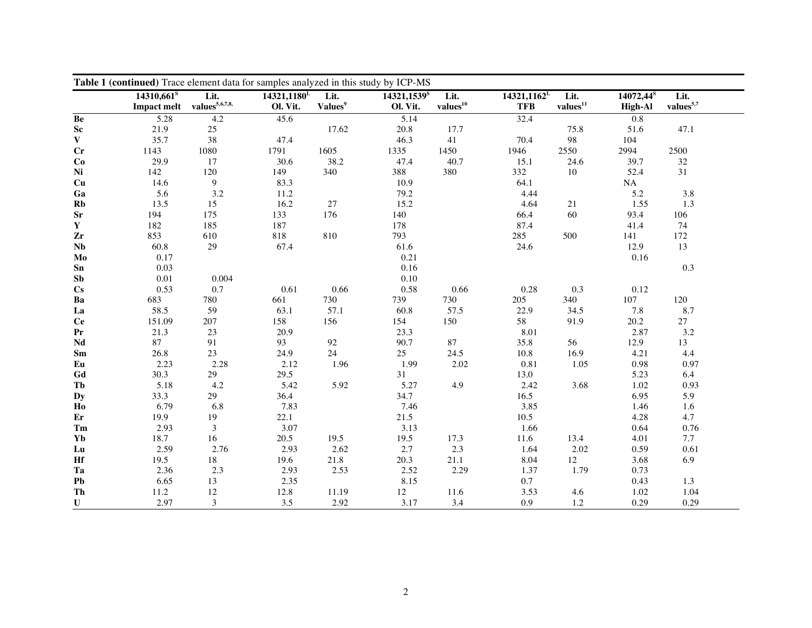|                        | Table 1 (continued) Trace element data for samples analyzed in this study by ICP-MS<br>Lit.<br>Lit.<br>Lit. |                |                                       |                     |                            |                      |                              |                              |                                         |                               |  |  |  |  |
|------------------------|-------------------------------------------------------------------------------------------------------------|----------------|---------------------------------------|---------------------|----------------------------|----------------------|------------------------------|------------------------------|-----------------------------------------|-------------------------------|--|--|--|--|
|                        | $14310,661$ <sup>s</sup><br>$\bold{ Impact\;melt\quad values^{5,6,7,8,}}$                                   |                | $14321,1180$ <sup>L</sup><br>Ol. Vit. | Values <sup>9</sup> | $14321,1539^s$<br>Ol. Vit. | values <sup>10</sup> | $14321,1162^L$<br><b>TFB</b> | Lit.<br>values <sup>11</sup> | 14072,44 <sup>s</sup><br><b>High-Al</b> | Lit.<br>$\bold{values}^{5,7}$ |  |  |  |  |
| Be                     | 5.28                                                                                                        | 4.2            | 45.6                                  |                     | 5.14                       |                      | 32.4                         |                              | 0.8                                     |                               |  |  |  |  |
| $\mathbf{Sc}$          | 21.9                                                                                                        | 25             |                                       | 17.62               | 20.8                       | 17.7                 |                              | 75.8                         | 51.6                                    | 47.1                          |  |  |  |  |
| $\mathbf{V}$           | 35.7                                                                                                        | 38             | 47.4                                  |                     | 46.3                       | 41                   | 70.4                         | 98                           | 104                                     |                               |  |  |  |  |
| Cr                     | 1143                                                                                                        | 1080           | 1791                                  | 1605                | 1335                       | 1450                 | 1946                         | 2550                         | 2994                                    | 2500                          |  |  |  |  |
| Co                     | 29.9                                                                                                        | 17             | 30.6                                  | 38.2                | 47.4                       | 40.7                 | 15.1                         | 24.6                         | 39.7                                    | $32\,$                        |  |  |  |  |
| Ni                     | 142                                                                                                         | 120            | 149                                   | 340                 | 388                        | 380                  | 332                          | 10                           | 52.4                                    | 31                            |  |  |  |  |
| Cu                     | 14.6                                                                                                        | $\overline{9}$ | 83.3                                  |                     | 10.9                       |                      | 64.1                         |                              | NA                                      |                               |  |  |  |  |
| Ga                     | 5.6                                                                                                         | 3.2            | 11.2                                  |                     | 79.2                       |                      | 4.44                         |                              | 5.2                                     | 3.8                           |  |  |  |  |
| Rb                     | 13.5                                                                                                        | 15             | 16.2                                  | 27                  | 15.2                       |                      | 4.64                         | 21                           | 1.55                                    | 1.3                           |  |  |  |  |
| ${\bf Sr}$             | 194                                                                                                         | 175            | 133                                   | 176                 | 140                        |                      | 66.4                         | 60                           | 93.4                                    | 106                           |  |  |  |  |
| $\mathbf Y$            | 182                                                                                                         | 185            | 187                                   |                     | 178                        |                      | 87.4                         |                              | 41.4                                    | 74                            |  |  |  |  |
| Zr                     | 853                                                                                                         | 610            | 818                                   | 810                 | 793                        |                      | 285                          | 500                          | 141                                     | 172                           |  |  |  |  |
| $\mathbf{Nb}$          | 60.8                                                                                                        | 29             | 67.4                                  |                     | 61.6                       |                      | 24.6                         |                              | 12.9                                    | 13                            |  |  |  |  |
| Mo                     | $0.17\,$                                                                                                    |                |                                       |                     | 0.21                       |                      |                              |                              | 0.16                                    |                               |  |  |  |  |
| S <sub>n</sub>         | 0.03                                                                                                        |                |                                       |                     | 0.16                       |                      |                              |                              |                                         | 0.3                           |  |  |  |  |
| S <sub>b</sub>         | $0.01\,$                                                                                                    | 0.004          |                                       |                     | 0.10                       |                      |                              |                              |                                         |                               |  |  |  |  |
| $\mathbf{C}\mathbf{s}$ | 0.53                                                                                                        | 0.7            | 0.61                                  | 0.66                | 0.58                       | 0.66                 | 0.28                         | 0.3                          | 0.12                                    |                               |  |  |  |  |
| Ba                     | 683                                                                                                         | 780            | 661                                   | 730                 | 739                        | 730                  | 205                          | 340                          | 107                                     | 120                           |  |  |  |  |
| La                     | 58.5                                                                                                        | 59             | 63.1                                  | 57.1                | 60.8                       | 57.5                 | 22.9                         | 34.5                         | 7.8                                     | $8.7\,$                       |  |  |  |  |
| Ce                     | 151.09                                                                                                      | 207            | 158                                   | 156                 | 154                        | 150                  | 58                           | 91.9                         | 20.2                                    | 27                            |  |  |  |  |
| Pr                     | 21.3                                                                                                        | 23             | 20.9                                  |                     | 23.3                       |                      | 8.01                         |                              | 2.87                                    | 3.2                           |  |  |  |  |
| Nd                     | 87                                                                                                          | 91             | 93                                    | 92                  | 90.7                       | 87                   | 35.8                         | 56                           | 12.9                                    | 13                            |  |  |  |  |
| Sm                     | 26.8                                                                                                        | $23\,$         | 24.9                                  | 24                  | 25                         | 24.5                 | 10.8                         | 16.9                         | 4.21                                    | 4.4                           |  |  |  |  |
| Eu                     | 2.23                                                                                                        | 2.28           | 2.12                                  | 1.96                | 1.99                       | 2.02                 | 0.81                         | 1.05                         | 0.98                                    | 0.97                          |  |  |  |  |
| Gd                     | 30.3                                                                                                        | 29             | 29.5                                  |                     | 31                         |                      | 13.0                         |                              | 5.23                                    | 6.4                           |  |  |  |  |
| Tb                     | 5.18                                                                                                        | 4.2            | 5.42                                  | 5.92                | 5.27                       | 4.9                  | 2.42                         | 3.68                         | 1.02                                    | 0.93                          |  |  |  |  |
| <b>Dy</b>              | 33.3                                                                                                        | 29             | 36.4                                  |                     | 34.7                       |                      | 16.5                         |                              | 6.95                                    | 5.9                           |  |  |  |  |
| Ho                     | 6.79                                                                                                        | 6.8            | 7.83                                  |                     | 7.46                       |                      | 3.85                         |                              | 1.46                                    | 1.6                           |  |  |  |  |
| Er                     | 19.9                                                                                                        | 19             | 22.1                                  |                     | 21.5                       |                      | 10.5                         |                              | 4.28                                    | 4.7                           |  |  |  |  |
| Tm                     | 2.93                                                                                                        | 3              | 3.07                                  |                     | 3.13                       |                      | 1.66                         |                              | 0.64                                    | 0.76                          |  |  |  |  |
| Yb                     | 18.7                                                                                                        | 16             | 20.5                                  | 19.5                | 19.5                       | 17.3                 | 11.6                         | 13.4                         | 4.01                                    | 7.7                           |  |  |  |  |
| Lu                     | 2.59                                                                                                        | 2.76           | 2.93                                  | 2.62                | 2.7                        | 2.3                  | 1.64                         | 2.02                         | 0.59                                    | 0.61                          |  |  |  |  |
| Hf                     | 19.5                                                                                                        | $18\,$         | 19.6                                  | 21.8                | 20.3                       | 21.1                 | 8.04                         | 12                           | 3.68                                    | 6.9                           |  |  |  |  |
| Ta                     | 2.36                                                                                                        | 2.3            | 2.93                                  | 2.53                | 2.52                       | 2.29                 | 1.37                         | 1.79                         | 0.73                                    |                               |  |  |  |  |
| ${\bf Pb}$             | 6.65                                                                                                        | 13             | 2.35                                  |                     | 8.15                       |                      | 0.7                          |                              | 0.43                                    | 1.3                           |  |  |  |  |
| Th                     | 11.2                                                                                                        | 12             | 12.8                                  | 11.19               | 12                         | 11.6                 | 3.53                         | 4.6                          | 1.02                                    | 1.04                          |  |  |  |  |
| ${\bf U}$              | 2.97                                                                                                        | $\mathfrak{Z}$ | 3.5                                   | 2.92                | 3.17                       | 3.4                  | 0.9                          | 1.2                          | 0.29                                    | 0.29                          |  |  |  |  |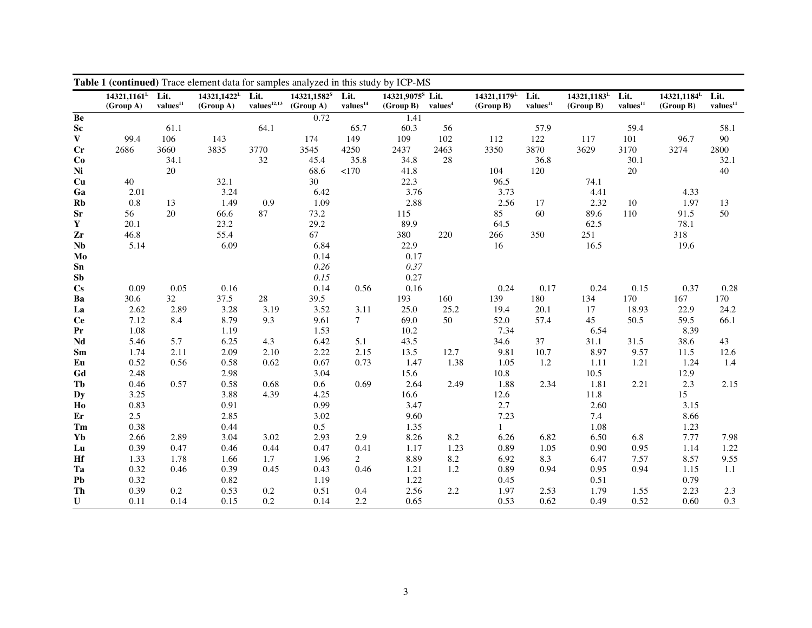|                              | $14321,1161^L$<br>(Group A) | Lit.<br>$\bold{values}^{11}$ | 14321,1422 <sup>L</sup><br>(Group A) | Lit.<br>values <sup>12,13</sup> | 14321,1582 <sup>S</sup><br>(Group A) | Lit.<br>$\bold{values}^{14}$ | 14321.9075 <sup>S</sup> Lit.<br>(Group B) | values <sup>4</sup> | 14321,1179 <sup>L</sup><br>(Group B) | Lit.<br>$\bold{values}^{11}$ | $14321,1183$ <sup>L</sup><br>(Group B) | Lit.<br>$\bold{values}^{11}$ | 14321,1184 <sup>L</sup><br>(Group B) | Lit.<br>values <sup>11</sup> |
|------------------------------|-----------------------------|------------------------------|--------------------------------------|---------------------------------|--------------------------------------|------------------------------|-------------------------------------------|---------------------|--------------------------------------|------------------------------|----------------------------------------|------------------------------|--------------------------------------|------------------------------|
| Be                           |                             |                              |                                      |                                 | 0.72                                 |                              | 1.41                                      |                     |                                      |                              |                                        |                              |                                      |                              |
| ${\bf Sc}$                   |                             | 61.1                         |                                      | 64.1                            |                                      | 65.7                         | 60.3                                      | 56                  |                                      | 57.9                         |                                        | 59.4                         |                                      | 58.1                         |
| $\mathbf{V}$                 | 99.4                        | 106                          | 143                                  |                                 | 174                                  | 149                          | 109                                       | 102                 | 112                                  | 122                          | 117                                    | 101                          | 96.7                                 | 90                           |
| Cr                           | 2686                        | 3660                         | 3835                                 | 3770                            | 3545                                 | 4250                         | 2437                                      | 2463                | 3350                                 | 3870                         | 3629                                   | 3170                         | 3274                                 | 2800                         |
| Co                           |                             | 34.1                         |                                      | 32                              | 45.4                                 | 35.8                         | 34.8                                      | $28\,$              |                                      | 36.8                         |                                        | 30.1                         |                                      | 32.1                         |
| Ni                           |                             | 20                           |                                      |                                 | 68.6                                 | <170                         | 41.8                                      |                     | 104                                  | 120                          |                                        | 20                           |                                      | 40                           |
| Cu                           | 40                          |                              | 32.1                                 |                                 | 30                                   |                              | 22.3                                      |                     | 96.5                                 |                              | 74.1                                   |                              |                                      |                              |
| Ga                           | 2.01                        |                              | 3.24                                 |                                 | 6.42                                 |                              | 3.76                                      |                     | 3.73                                 |                              | 4.41                                   |                              | 4.33                                 |                              |
| Rb                           | 0.8                         | 13                           | 1.49                                 | 0.9                             | 1.09                                 |                              | 2.88                                      |                     | 2.56                                 | 17                           | 2.32                                   | 10                           | 1.97                                 | 13                           |
| ${\bf Sr}$                   | 56                          | 20                           | 66.6                                 | 87                              | 73.2                                 |                              | 115                                       |                     | 85                                   | 60                           | 89.6                                   | 110                          | 91.5                                 | 50                           |
| $\mathbf Y$                  | 20.1                        |                              | 23.2                                 |                                 | 29.2                                 |                              | 89.9                                      |                     | 64.5                                 |                              | 62.5                                   |                              | 78.1                                 |                              |
| Zr                           | 46.8                        |                              | 55.4                                 |                                 | 67                                   |                              | 380                                       | 220                 | 266                                  | 350                          | 251                                    |                              | 318                                  |                              |
| $\mathbf{Nb}$                | 5.14                        |                              | 6.09                                 |                                 | 6.84                                 |                              | 22.9                                      |                     | 16                                   |                              | 16.5                                   |                              | 19.6                                 |                              |
| Mo                           |                             |                              |                                      |                                 | 0.14                                 |                              | 0.17                                      |                     |                                      |                              |                                        |                              |                                      |                              |
| Sn                           |                             |                              |                                      |                                 | 0.26                                 |                              | 0.37                                      |                     |                                      |                              |                                        |                              |                                      |                              |
| S <sub>b</sub>               |                             |                              |                                      |                                 | 0.15                                 |                              | 0.27                                      |                     |                                      |                              |                                        |                              |                                      |                              |
| $\mathbf{C}\mathbf{s}$       | 0.09                        | 0.05                         | 0.16                                 |                                 | 0.14                                 | 0.56                         | 0.16                                      |                     | 0.24                                 | 0.17                         | 0.24                                   | 0.15                         | 0.37                                 | 0.28                         |
| Ba                           | 30.6                        | 32                           | 37.5                                 | $28\,$                          | 39.5                                 |                              | 193                                       | 160                 | 139                                  | 180                          | 134                                    | 170                          | 167                                  | 170                          |
| La                           | 2.62                        | 2.89                         | 3.28                                 | 3.19                            | 3.52                                 | 3.11                         | 25.0                                      | 25.2                | 19.4                                 | 20.1                         | 17                                     | 18.93                        | 22.9                                 | 24.2                         |
| Ce                           | 7.12                        | 8.4                          | 8.79                                 | 9.3                             | 9.61                                 | $\tau$                       | 69.0                                      | 50                  | 52.0                                 | 57.4                         | 45                                     | 50.5                         | 59.5                                 | 66.1                         |
| ${\bf Pr}$                   | 1.08                        |                              | 1.19                                 |                                 | 1.53                                 |                              | 10.2                                      |                     | 7.34                                 |                              | 6.54                                   |                              | 8.39                                 |                              |
| $\mathbf{N}\mathbf{d}$       | 5.46                        | 5.7                          | 6.25                                 | 4.3                             | 6.42                                 | 5.1                          | 43.5                                      |                     | 34.6                                 | 37                           | 31.1                                   | 31.5                         | 38.6                                 | 43                           |
| $\operatorname{\mathbf{Sm}}$ | 1.74                        | 2.11                         | 2.09                                 | 2.10                            | 2.22                                 | 2.15                         | 13.5                                      | 12.7                | 9.81                                 | 10.7                         | 8.97                                   | 9.57                         | 11.5                                 | 12.6                         |
| Eu                           | 0.52                        | 0.56                         | 0.58                                 | 0.62                            | 0.67                                 | 0.73                         | 1.47                                      | 1.38                | 1.05                                 | 1.2                          | 1.11                                   | 1.21                         | 1.24                                 | 1.4                          |
| Gd                           | 2.48                        |                              | 2.98                                 |                                 | 3.04                                 |                              | 15.6                                      |                     | 10.8                                 |                              | 10.5                                   |                              | 12.9                                 |                              |
| Tb                           | 0.46                        | 0.57                         | 0.58                                 | 0.68                            | 0.6                                  | 0.69                         | 2.64                                      | 2.49                | 1.88                                 | 2.34                         | 1.81                                   | 2.21                         | 2.3                                  | 2.15                         |
| <b>Dy</b>                    | 3.25                        |                              | 3.88                                 | 4.39                            | 4.25                                 |                              | 16.6                                      |                     | 12.6                                 |                              | 11.8                                   |                              | 15                                   |                              |
| H <sub>0</sub>               | 0.83                        |                              | 0.91                                 |                                 | 0.99                                 |                              | 3.47                                      |                     | 2.7                                  |                              | 2.60                                   |                              | 3.15                                 |                              |
| $\mathbf{E}$ r               | 2.5                         |                              | 2.85                                 |                                 | 3.02                                 |                              | 9.60                                      |                     | 7.23                                 |                              | 7.4                                    |                              | 8.66                                 |                              |
| $\mathbf{Tm}$                | 0.38                        |                              | 0.44                                 |                                 | 0.5                                  |                              | 1.35                                      |                     | $\mathbf{1}$                         |                              | 1.08                                   |                              | 1.23                                 |                              |
| Yb                           | 2.66                        | 2.89                         | 3.04                                 | 3.02                            | 2.93                                 | 2.9                          | 8.26                                      | 8.2                 | 6.26                                 | 6.82                         | 6.50                                   | 6.8                          | 7.77                                 | 7.98                         |
| Lu                           | 0.39                        | 0.47                         | 0.46                                 | 0.44                            | 0.47                                 | 0.41                         | 1.17                                      | 1.23                | 0.89                                 | 1.05                         | 0.90                                   | 0.95                         | 1.14                                 | 1.22                         |
| Hf                           | 1.33                        | 1.78                         | 1.66                                 | 1.7                             | 1.96                                 | $\overline{2}$               | 8.89                                      | 8.2                 | 6.92                                 | 8.3                          | 6.47                                   | 7.57                         | 8.57                                 | 9.55                         |
| Ta                           | 0.32                        | 0.46                         | 0.39                                 | 0.45                            | 0.43                                 | 0.46                         | 1.21                                      | 1.2                 | 0.89                                 | 0.94                         | 0.95                                   | 0.94                         | 1.15                                 | 1.1                          |
| P <sub>b</sub>               | 0.32                        |                              | 0.82                                 |                                 | 1.19                                 |                              | 1.22                                      |                     | 0.45                                 |                              | 0.51                                   |                              | 0.79                                 |                              |
| Th                           | 0.39                        | 0.2                          | 0.53                                 | $0.2\,$                         | 0.51                                 | 0.4                          | 2.56                                      | 2.2                 | 1.97                                 | 2.53                         | 1.79                                   | 1.55                         | 2.23                                 | 2.3                          |
| $\mathbf U$                  | 0.11                        | 0.14                         | 0.15                                 | 0.2                             | 0.14                                 | 2.2                          | 0.65                                      |                     | 0.53                                 | 0.62                         | 0.49                                   | 0.52                         | 0.60                                 | 0.3                          |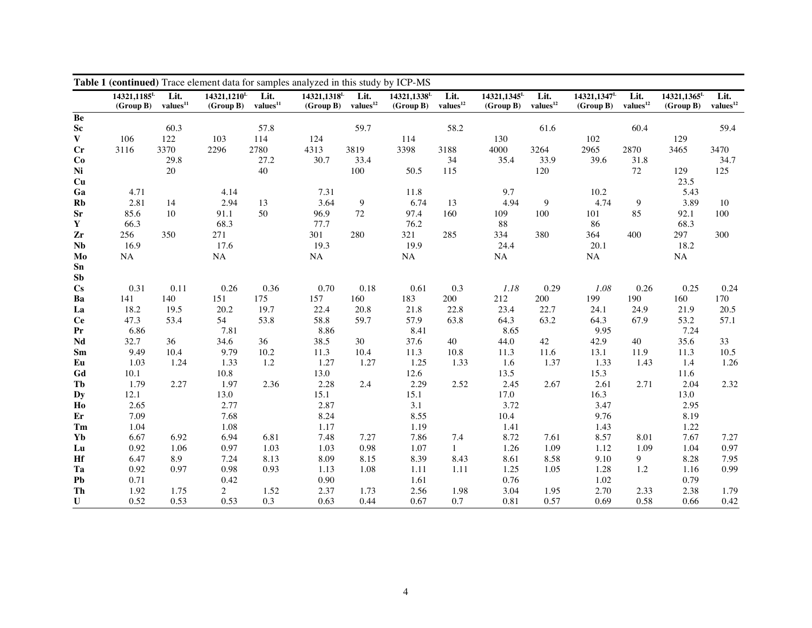|                        | Table 1 (continued) Trace element data for samples analyzed in this study by ICP-MS<br>Lit.<br>Lit.<br>14321,1318 <sup>L</sup><br>Lit.<br>14321,1345 <sup>L</sup><br>Lit.<br>14321,1347 <sup>L</sup><br>Lit.<br>14321.1185 <sup>L</sup><br>14321,1210 <sup>L</sup><br>Lit.<br>14321.1338 <sup>L</sup><br>14321,1365 <sup>L</sup><br>Lit. |                      |                |                      |              |                      |             |                      |              |                      |              |                      |              |                      |
|------------------------|------------------------------------------------------------------------------------------------------------------------------------------------------------------------------------------------------------------------------------------------------------------------------------------------------------------------------------------|----------------------|----------------|----------------------|--------------|----------------------|-------------|----------------------|--------------|----------------------|--------------|----------------------|--------------|----------------------|
|                        | (Group B)                                                                                                                                                                                                                                                                                                                                | values <sup>11</sup> | (Group B)      | values <sup>11</sup> | (Group B)    | values <sup>12</sup> | (Group B)   | $\bold{values}^{12}$ | (Group B)    | $\bold{values}^{12}$ | (Group B)    | $\bold{values}^{12}$ | (Group B)    | $\bold{values}^{12}$ |
| Be                     |                                                                                                                                                                                                                                                                                                                                          |                      |                |                      |              |                      |             |                      |              |                      |              |                      |              |                      |
| ${\bf Sc}$             |                                                                                                                                                                                                                                                                                                                                          | 60.3                 |                | 57.8                 |              | 59.7                 |             | 58.2                 |              | 61.6                 |              | 60.4                 |              | 59.4                 |
| $\mathbf{V}$           | 106                                                                                                                                                                                                                                                                                                                                      | 122                  | 103            | 114                  | 124          |                      | 114         |                      | 130          |                      | 102          |                      | 129          |                      |
| $C_{r}$                | 3116                                                                                                                                                                                                                                                                                                                                     | 3370                 | 2296           | 2780                 | 4313         | 3819                 | 3398        | 3188                 | 4000         | 3264                 | 2965         | 2870                 | 3465         | 3470                 |
| Co                     |                                                                                                                                                                                                                                                                                                                                          | 29.8                 |                | 27.2                 | 30.7         | 33.4                 |             | 34                   | 35.4         | 33.9                 | 39.6         | 31.8                 |              | 34.7                 |
| Ni                     |                                                                                                                                                                                                                                                                                                                                          | 20                   |                | 40                   |              | 100                  | 50.5        | 115                  |              | 120                  |              | 72                   | 129          | 125                  |
| Cu                     |                                                                                                                                                                                                                                                                                                                                          |                      |                |                      |              |                      |             |                      |              |                      |              |                      | 23.5         |                      |
| Ga                     | 4.71                                                                                                                                                                                                                                                                                                                                     |                      | 4.14           |                      | 7.31         |                      | 11.8        |                      | 9.7          |                      | 10.2         |                      | 5.43         |                      |
| Rb                     | 2.81                                                                                                                                                                                                                                                                                                                                     | 14                   | 2.94           | 13                   | 3.64         | $\boldsymbol{9}$     | 6.74        | 13                   | 4.94         | 9                    | 4.74         | 9                    | 3.89         | 10                   |
| <b>Sr</b>              | 85.6                                                                                                                                                                                                                                                                                                                                     | 10                   | 91.1           | 50                   | 96.9         | 72                   | 97.4        | 160                  | 109          | 100                  | 101          | 85                   | 92.1         | 100                  |
| $\mathbf Y$            | 66.3                                                                                                                                                                                                                                                                                                                                     |                      | 68.3           |                      | 77.7         |                      | 76.2        |                      | 88           |                      | 86           |                      | 68.3         |                      |
| Zr                     | 256                                                                                                                                                                                                                                                                                                                                      | 350                  | 271            |                      | 301          | 280                  | 321         | 285                  | 334          | 380                  | 364          | 400                  | 297          | 300                  |
| $\mathbf{Nb}$          | 16.9                                                                                                                                                                                                                                                                                                                                     |                      | 17.6           |                      | 19.3         |                      | 19.9        |                      | 24.4         |                      | 20.1         |                      | 18.2         |                      |
| Mo                     | <b>NA</b>                                                                                                                                                                                                                                                                                                                                |                      | NA             |                      | NA           |                      | <b>NA</b>   |                      | NA           |                      | $\rm NA$     |                      | NA           |                      |
| Sn                     |                                                                                                                                                                                                                                                                                                                                          |                      |                |                      |              |                      |             |                      |              |                      |              |                      |              |                      |
| Sb                     |                                                                                                                                                                                                                                                                                                                                          |                      |                |                      |              |                      |             |                      |              |                      |              |                      |              |                      |
| $\mathbf{C}\mathbf{s}$ | 0.31                                                                                                                                                                                                                                                                                                                                     | 0.11                 | 0.26           | 0.36                 | 0.70         | 0.18                 | 0.61        | 0.3                  | 1.18         | 0.29                 | 1.08         | 0.26                 | 0.25         | 0.24                 |
| Ba                     | 141                                                                                                                                                                                                                                                                                                                                      | 140                  | 151            | 175                  | 157          | 160                  | 183         | 200                  | 212          | 200                  | 199          | 190                  | 160          | 170                  |
| La                     | 18.2                                                                                                                                                                                                                                                                                                                                     | 19.5                 | 20.2           | 19.7                 | 22.4         | 20.8                 | 21.8        | 22.8                 | 23.4         | 22.7                 | 24.1         | 24.9                 | 21.9         | 20.5                 |
| <b>Ce</b>              | 47.3                                                                                                                                                                                                                                                                                                                                     | 53.4                 | 54             | 53.8                 | 58.8         | 59.7                 | 57.9        | 63.8                 | 64.3         | 63.2                 | 64.3         | 67.9                 | 53.2         | 57.1                 |
| Pr                     | 6.86                                                                                                                                                                                                                                                                                                                                     |                      | 7.81           |                      | 8.86         |                      | 8.41        |                      | 8.65         |                      | 9.95         |                      | 7.24         |                      |
| Nd                     | 32.7                                                                                                                                                                                                                                                                                                                                     | 36                   | 34.6           | 36                   | 38.5         | 30                   | 37.6        | 40                   | 44.0         | 42                   | 42.9         | 40                   | 35.6         | 33                   |
| Sm                     | 9.49                                                                                                                                                                                                                                                                                                                                     | 10.4                 | 9.79           | 10.2                 | 11.3         | 10.4                 | 11.3        | 10.8                 | 11.3         | 11.6                 | 13.1         | 11.9                 | 11.3         | 10.5                 |
| Eu                     | 1.03                                                                                                                                                                                                                                                                                                                                     | 1.24                 | 1.33           | 1.2                  | 1.27         | 1.27                 | 1.25        | 1.33                 | 1.6          | 1.37                 | 1.33         | 1.43                 | 1.4          | 1.26                 |
| Gd                     | 10.1                                                                                                                                                                                                                                                                                                                                     |                      | 10.8           |                      | 13.0         |                      | 12.6        |                      | 13.5         |                      | 15.3         |                      | 11.6         |                      |
| Tb                     | 1.79                                                                                                                                                                                                                                                                                                                                     | 2.27                 | 1.97           | 2.36                 | 2.28         | 2.4                  | 2.29        | 2.52                 | 2.45         | 2.67                 | 2.61         | 2.71                 | 2.04         | 2.32                 |
| <b>Dy</b><br>Ho        | 12.1<br>2.65                                                                                                                                                                                                                                                                                                                             |                      | 13.0<br>2.77   |                      | 15.1<br>2.87 |                      | 15.1<br>3.1 |                      | 17.0<br>3.72 |                      | 16.3<br>3.47 |                      | 13.0<br>2.95 |                      |
| Er                     | 7.09                                                                                                                                                                                                                                                                                                                                     |                      | 7.68           |                      | 8.24         |                      | 8.55        |                      | 10.4         |                      | 9.76         |                      | 8.19         |                      |
| Tm                     | 1.04                                                                                                                                                                                                                                                                                                                                     |                      | 1.08           |                      | 1.17         |                      | 1.19        |                      | 1.41         |                      | 1.43         |                      | 1.22         |                      |
| Yb                     | 6.67                                                                                                                                                                                                                                                                                                                                     | 6.92                 | 6.94           | 6.81                 | 7.48         | 7.27                 | 7.86        | 7.4                  | 8.72         | 7.61                 | 8.57         | 8.01                 | 7.67         | 7.27                 |
| Lu                     | 0.92                                                                                                                                                                                                                                                                                                                                     | 1.06                 | 0.97           | 1.03                 | 1.03         | 0.98                 | 1.07        | $\mathbf{1}$         | 1.26         | 1.09                 | 1.12         | 1.09                 | 1.04         | 0.97                 |
| Hf                     | 6.47                                                                                                                                                                                                                                                                                                                                     | 8.9                  | 7.24           | 8.13                 | 8.09         | 8.15                 | 8.39        | 8.43                 | 8.61         | 8.58                 | 9.10         | 9                    | 8.28         | 7.95                 |
| Ta                     | 0.92                                                                                                                                                                                                                                                                                                                                     | 0.97                 | 0.98           | 0.93                 | 1.13         | 1.08                 | 1.11        | 1.11                 | 1.25         | 1.05                 | 1.28         | 1.2                  | 1.16         | 0.99                 |
| Pb                     | 0.71                                                                                                                                                                                                                                                                                                                                     |                      | 0.42           |                      | 0.90         |                      | 1.61        |                      | 0.76         |                      | 1.02         |                      | 0.79         |                      |
| Th                     | 1.92                                                                                                                                                                                                                                                                                                                                     | 1.75                 | $\overline{2}$ | 1.52                 | 2.37         | 1.73                 | 2.56        | 1.98                 | 3.04         | 1.95                 | 2.70         | 2.33                 | 2.38         | 1.79                 |
| $\mathbf U$            | 0.52                                                                                                                                                                                                                                                                                                                                     | 0.53                 | 0.53           | 0.3                  | 0.63         | 0.44                 | 0.67        | 0.7                  | 0.81         | 0.57                 | 0.69         | 0.58                 | 0.66         | 0.42                 |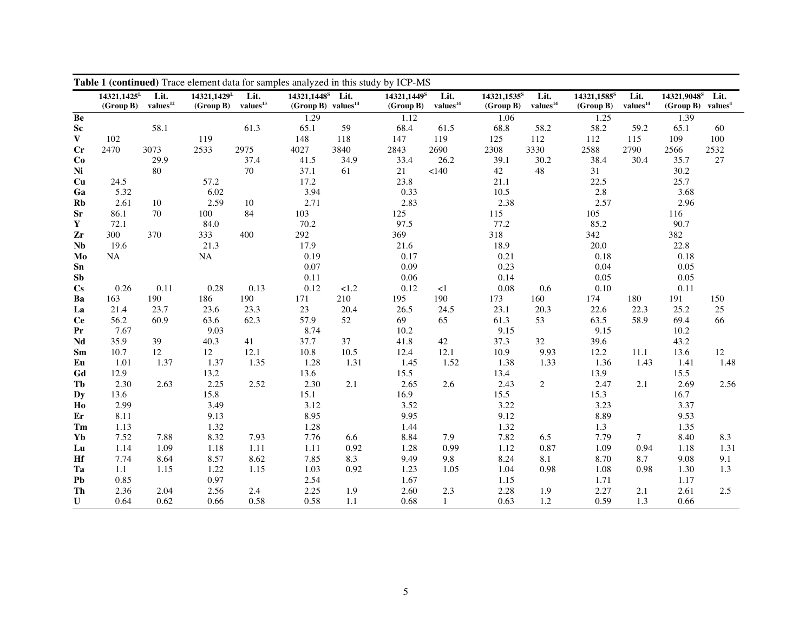|                        | Table 1 (continued) Trace element data for samples analyzed in this study by ICP-MS<br>14321,1448 <sup>s</sup> Lit.<br>14321,1429 <sup>L</sup><br>14321,9048 <sup>s</sup><br>14321,1449 <sup>S</sup> |                              |           |                              |                          |      |           |                              |                                      |                              |                                      |                              |                                 |      |
|------------------------|------------------------------------------------------------------------------------------------------------------------------------------------------------------------------------------------------|------------------------------|-----------|------------------------------|--------------------------|------|-----------|------------------------------|--------------------------------------|------------------------------|--------------------------------------|------------------------------|---------------------------------|------|
|                        | 14321,1425 <sup>L</sup><br>(Group B)                                                                                                                                                                 | Lit.<br>$\bold{values}^{12}$ | (Group B) | Lit.<br>$\bold{values}^{13}$ | (Group B) values $^{14}$ |      | (Group B) | Lit.<br>$\bold{values}^{14}$ | 14321,1535 <sup>s</sup><br>(Group B) | Lit.<br>$\bold{values}^{14}$ | 14321,1585 <sup>S</sup><br>(Group B) | Lit.<br>values <sup>14</sup> | $(Group B)$ values <sup>4</sup> | Lit. |
| Be                     |                                                                                                                                                                                                      |                              |           |                              | 1.29                     |      | 1.12      |                              | 1.06                                 |                              | 1.25                                 |                              | 1.39                            |      |
| Sc                     |                                                                                                                                                                                                      | 58.1                         |           | 61.3                         | 65.1                     | 59   | 68.4      | 61.5                         | 68.8                                 | 58.2                         | 58.2                                 | 59.2                         | 65.1                            | 60   |
| $\mathbf{V}$           | 102                                                                                                                                                                                                  |                              | 119       |                              | 148                      | 118  | 147       | 119                          | 125                                  | 112                          | 112                                  | 115                          | 109                             | 100  |
| Cr                     | 2470                                                                                                                                                                                                 | 3073                         | 2533      | 2975                         | 4027                     | 3840 | 2843      | 2690                         | 2308                                 | 3330                         | 2588                                 | 2790                         | 2566                            | 2532 |
| Co                     |                                                                                                                                                                                                      | 29.9                         |           | 37.4                         | 41.5                     | 34.9 | 33.4      | 26.2                         | 39.1                                 | 30.2                         | 38.4                                 | 30.4                         | 35.7                            | 27   |
| Ni                     |                                                                                                                                                                                                      | 80                           |           | 70                           | 37.1                     | 61   | 21        | <140                         | 42                                   | 48                           | 31                                   |                              | 30.2                            |      |
| Cu                     | 24.5                                                                                                                                                                                                 |                              | 57.2      |                              | 17.2                     |      | 23.8      |                              | 21.1                                 |                              | 22.5                                 |                              | 25.7                            |      |
| Ga                     | 5.32                                                                                                                                                                                                 |                              | 6.02      |                              | 3.94                     |      | 0.33      |                              | 10.5                                 |                              | 2.8                                  |                              | 3.68                            |      |
| Rb                     | 2.61                                                                                                                                                                                                 | 10                           | 2.59      | 10                           | 2.71                     |      | 2.83      |                              | 2.38                                 |                              | 2.57                                 |                              | 2.96                            |      |
| <b>Sr</b>              | 86.1                                                                                                                                                                                                 | 70                           | 100       | 84                           | 103                      |      | 125       |                              | 115                                  |                              | 105                                  |                              | 116                             |      |
| $\mathbf Y$            | 72.1                                                                                                                                                                                                 |                              | 84.0      |                              | 70.2                     |      | 97.5      |                              | 77.2                                 |                              | 85.2                                 |                              | 90.7                            |      |
| Zr                     | 300                                                                                                                                                                                                  | 370                          | 333       | 400                          | 292                      |      | 369       |                              | 318                                  |                              | 342                                  |                              | 382                             |      |
| <b>Nb</b>              | 19.6                                                                                                                                                                                                 |                              | 21.3      |                              | 17.9                     |      | 21.6      |                              | 18.9                                 |                              | 20.0                                 |                              | 22.8                            |      |
| Mo                     | NA                                                                                                                                                                                                   |                              | NA        |                              | 0.19                     |      | 0.17      |                              | 0.21                                 |                              | 0.18                                 |                              | 0.18                            |      |
| S <sub>n</sub>         |                                                                                                                                                                                                      |                              |           |                              | 0.07                     |      | 0.09      |                              | 0.23                                 |                              | 0.04                                 |                              | 0.05                            |      |
| Sb                     |                                                                                                                                                                                                      |                              |           |                              | 0.11                     |      | 0.06      |                              | 0.14                                 |                              | 0.05                                 |                              | 0.05                            |      |
| $\mathbf{C}\mathbf{s}$ | 0.26                                                                                                                                                                                                 | 0.11                         | 0.28      | 0.13                         | 0.12                     | 1.2  | 0.12      | $\leq$ 1                     | $0.08\,$                             | 0.6                          | $0.10\,$                             |                              | 0.11                            |      |
| Ba                     | 163                                                                                                                                                                                                  | 190                          | 186       | 190                          | 171                      | 210  | 195       | 190                          | 173                                  | 160                          | 174                                  | 180                          | 191                             | 150  |
| La                     | 21.4                                                                                                                                                                                                 | 23.7                         | 23.6      | 23.3                         | 23                       | 20.4 | 26.5      | 24.5                         | 23.1                                 | 20.3                         | 22.6                                 | 22.3                         | 25.2                            | 25   |
| <b>Ce</b>              | 56.2                                                                                                                                                                                                 | 60.9                         | 63.6      | 62.3                         | 57.9                     | 52   | 69        | 65                           | 61.3                                 | 53                           | 63.5                                 | 58.9                         | 69.4                            | 66   |
| Pr                     | 7.67                                                                                                                                                                                                 |                              | 9.03      |                              | 8.74                     |      | 10.2      |                              | 9.15                                 |                              | 9.15                                 |                              | 10.2                            |      |
| Nd                     | 35.9                                                                                                                                                                                                 | 39                           | 40.3      | 41                           | 37.7                     | 37   | 41.8      | 42                           | 37.3                                 | 32                           | 39.6                                 |                              | 43.2                            |      |
| Sm                     | 10.7                                                                                                                                                                                                 | 12                           | 12        | 12.1                         | 10.8                     | 10.5 | 12.4      | 12.1                         | 10.9                                 | 9.93                         | 12.2                                 | 11.1                         | 13.6                            | 12   |
| Eu                     | 1.01                                                                                                                                                                                                 | 1.37                         | 1.37      | 1.35                         | 1.28                     | 1.31 | 1.45      | 1.52                         | 1.38                                 | 1.33                         | 1.36                                 | 1.43                         | 1.41                            | 1.48 |
| Gd                     | 12.9                                                                                                                                                                                                 |                              | 13.2      |                              | 13.6                     |      | 15.5      |                              | 13.4                                 |                              | 13.9                                 |                              | 15.5                            |      |
| Tb                     | 2.30                                                                                                                                                                                                 | 2.63                         | 2.25      | 2.52                         | 2.30                     | 2.1  | 2.65      | 2.6                          | 2.43                                 | $\overline{c}$               | 2.47                                 | 2.1                          | 2.69                            | 2.56 |
| Dy                     | 13.6                                                                                                                                                                                                 |                              | 15.8      |                              | 15.1                     |      | 16.9      |                              | 15.5                                 |                              | 15.3                                 |                              | 16.7                            |      |
| Ho                     | 2.99                                                                                                                                                                                                 |                              | 3.49      |                              | 3.12                     |      | 3.52      |                              | 3.22                                 |                              | 3.23                                 |                              | 3.37                            |      |
| Er                     | 8.11                                                                                                                                                                                                 |                              | 9.13      |                              | 8.95                     |      | 9.95      |                              | 9.12                                 |                              | 8.89                                 |                              | 9.53                            |      |
| Tm                     | 1.13                                                                                                                                                                                                 |                              | 1.32      |                              | 1.28                     |      | 1.44      |                              | 1.32                                 |                              | 1.3                                  |                              | 1.35                            |      |
| Yb                     | 7.52                                                                                                                                                                                                 | 7.88                         | 8.32      | 7.93                         | 7.76                     | 6.6  | 8.84      | 7.9                          | 7.82                                 | 6.5                          | 7.79                                 | $\tau$                       | 8.40                            | 8.3  |
| Lu                     | 1.14                                                                                                                                                                                                 | 1.09                         | 1.18      | 1.11                         | 1.11                     | 0.92 | 1.28      | 0.99                         | 1.12                                 | 0.87                         | 1.09                                 | 0.94                         | 1.18                            | 1.31 |
| Hf                     | 7.74                                                                                                                                                                                                 | 8.64                         | 8.57      | 8.62                         | 7.85                     | 8.3  | 9.49      | 9.8                          | 8.24                                 | 8.1                          | 8.70                                 | 8.7                          | 9.08                            | 9.1  |
| Ta                     | 1.1                                                                                                                                                                                                  | 1.15                         | 1.22      | 1.15                         | 1.03                     | 0.92 | 1.23      | 1.05                         | 1.04                                 | 0.98                         | 1.08                                 | 0.98                         | 1.30                            | 1.3  |
| Pb                     | 0.85                                                                                                                                                                                                 |                              | 0.97      |                              | 2.54                     |      | 1.67      |                              | 1.15                                 |                              | 1.71                                 |                              | 1.17                            |      |
| Th                     | 2.36                                                                                                                                                                                                 | 2.04                         | 2.56      | 2.4                          | 2.25                     | 1.9  | 2.60      | 2.3                          | 2.28                                 | 1.9                          | 2.27                                 | 2.1                          | 2.61                            | 2.5  |
| $\mathbf U$            | 0.64                                                                                                                                                                                                 | 0.62                         | 0.66      | 0.58                         | 0.58                     | 1.1  | 0.68      | $\mathbf{1}$                 | 0.63                                 | 1.2                          | 0.59                                 | 1.3                          | 0.66                            |      |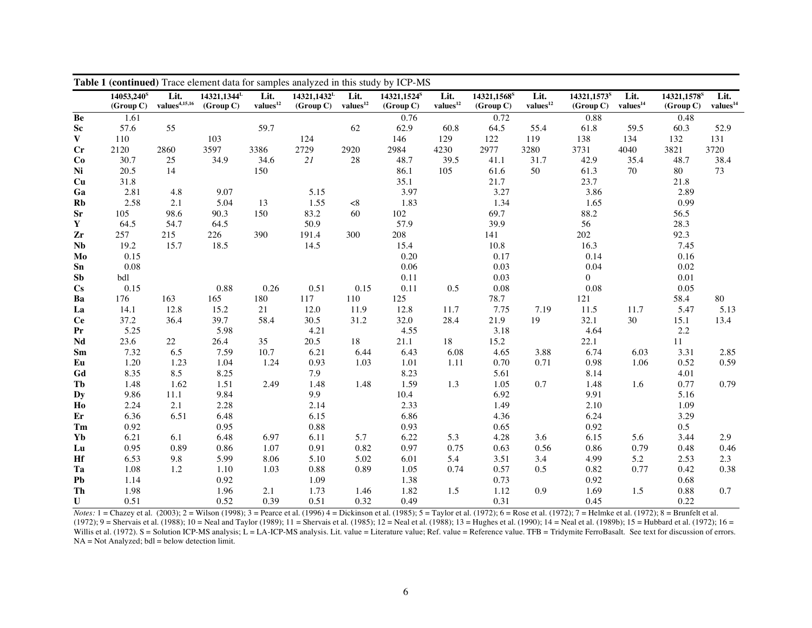|                        | Table 1 (continued) Trace element data for samples analyzed in this study by ICP-MS |                                   |                                      |                              |                                      |                              |                                      |                              |                                      |                              |                                      |                              |                                      |                              |
|------------------------|-------------------------------------------------------------------------------------|-----------------------------------|--------------------------------------|------------------------------|--------------------------------------|------------------------------|--------------------------------------|------------------------------|--------------------------------------|------------------------------|--------------------------------------|------------------------------|--------------------------------------|------------------------------|
|                        | 14053,240 <sup>s</sup><br>(Group C)                                                 | Lit.<br>values <sup>4,15,16</sup> | 14321,1344 <sup>L</sup><br>(Group C) | Lit.<br>$\bold{values}^{12}$ | 14321,1432 <sup>L</sup><br>(Group C) | Lit.<br>$\bold{values}^{12}$ | 14321,1524 <sup>S</sup><br>(Group C) | Lit.<br>$\bold{values}^{12}$ | 14321,1568 <sup>s</sup><br>(Group C) | Lit.<br>$\bold{values}^{12}$ | 14321,1573 <sup>8</sup><br>(Group C) | Lit.<br>values <sup>14</sup> | 14321,1578 <sup>S</sup><br>(Group C) | Lit.<br>values <sup>14</sup> |
| Be                     | 1.61                                                                                |                                   |                                      |                              |                                      |                              | 0.76                                 |                              | 0.72                                 |                              | 0.88                                 |                              | 0.48                                 |                              |
| ${\bf Sc}$             | 57.6                                                                                | 55                                |                                      | 59.7                         |                                      | 62                           | 62.9                                 | 60.8                         | 64.5                                 | 55.4                         | 61.8                                 | 59.5                         | 60.3                                 | 52.9                         |
| $\mathbf{V}$           | 110                                                                                 |                                   | 103                                  |                              | 124                                  |                              | 146                                  | 129                          | 122                                  | 119                          | 138                                  | 134                          | 132                                  | 131                          |
| $\mathbf{C}\mathbf{r}$ | 2120                                                                                | 2860                              | 3597                                 | 3386                         | 2729                                 | 2920                         | 2984                                 | 4230                         | 2977                                 | 3280                         | 3731                                 | 4040                         | 3821                                 | 3720                         |
| Co                     | 30.7                                                                                | 25                                | 34.9                                 | 34.6                         | $2\sqrt{l}$                          | 28                           | 48.7                                 | 39.5                         | 41.1                                 | 31.7                         | 42.9                                 | 35.4                         | 48.7                                 | 38.4                         |
| Ni                     | 20.5                                                                                | 14                                |                                      | 150                          |                                      |                              | 86.1                                 | 105                          | 61.6                                 | 50                           | 61.3                                 | 70                           | 80                                   | 73                           |
| Cu                     | 31.8                                                                                |                                   |                                      |                              |                                      |                              | 35.1                                 |                              | 21.7                                 |                              | 23.7                                 |                              | 21.8                                 |                              |
| Ga                     | 2.81                                                                                | 4.8                               | 9.07                                 |                              | 5.15                                 |                              | 3.97                                 |                              | 3.27                                 |                              | 3.86                                 |                              | 2.89                                 |                              |
| Rb                     | 2.58                                                                                | 2.1                               | 5.04                                 | 13                           | 1.55                                 | < 8                          | 1.83                                 |                              | 1.34                                 |                              | 1.65                                 |                              | 0.99                                 |                              |
| <b>Sr</b>              | 105                                                                                 | 98.6                              | 90.3                                 | 150                          | 83.2                                 | 60                           | 102                                  |                              | 69.7                                 |                              | 88.2                                 |                              | 56.5                                 |                              |
| $\mathbf Y$            | 64.5                                                                                | 54.7                              | 64.5                                 |                              | 50.9                                 |                              | 57.9                                 |                              | 39.9                                 |                              | 56                                   |                              | 28.3                                 |                              |
| Zr                     | 257                                                                                 | 215                               | 226                                  | 390                          | 191.4                                | 300                          | 208                                  |                              | 141                                  |                              | 202                                  |                              | 92.3                                 |                              |
| Nb                     | 19.2                                                                                | 15.7                              | 18.5                                 |                              | 14.5                                 |                              | 15.4                                 |                              | 10.8                                 |                              | 16.3                                 |                              | 7.45                                 |                              |
| Mo                     | 0.15                                                                                |                                   |                                      |                              |                                      |                              | 0.20                                 |                              | 0.17                                 |                              | 0.14                                 |                              | 0.16                                 |                              |
| ${\bf Sn}$             | 0.08                                                                                |                                   |                                      |                              |                                      |                              | 0.06                                 |                              | 0.03                                 |                              | 0.04                                 |                              | 0.02                                 |                              |
| Sb                     | bdl                                                                                 |                                   |                                      |                              |                                      |                              | 0.11                                 |                              | 0.03                                 |                              | $\Omega$                             |                              | 0.01                                 |                              |
| $\mathbf{C}\mathbf{s}$ | 0.15                                                                                |                                   | 0.88                                 | 0.26                         | 0.51                                 | 0.15                         | 0.11                                 | 0.5                          | $0.08\,$                             |                              | $0.08\,$                             |                              | 0.05                                 |                              |
| Ba                     | 176                                                                                 | 163                               | 165                                  | 180                          | 117                                  | 110                          | 125                                  |                              | 78.7                                 |                              | 121                                  |                              | 58.4                                 | $80\,$                       |
| La                     | 14.1                                                                                | 12.8                              | 15.2                                 | 21                           | 12.0                                 | 11.9                         | 12.8                                 | 11.7                         | 7.75                                 | 7.19                         | 11.5                                 | 11.7                         | 5.47                                 | 5.13                         |
| <b>Ce</b>              | 37.2                                                                                | 36.4                              | 39.7                                 | 58.4                         | 30.5                                 | 31.2                         | 32.0                                 | 28.4                         | 21.9                                 | 19                           | 32.1                                 | 30                           | 15.1                                 | 13.4                         |
| Pr                     | 5.25                                                                                |                                   | 5.98                                 |                              | 4.21                                 |                              | 4.55                                 |                              | 3.18                                 |                              | 4.64                                 |                              | 2.2                                  |                              |
| Nd                     | 23.6                                                                                | 22                                | 26.4                                 | 35                           | 20.5                                 | 18                           | 21.1                                 | 18                           | 15.2                                 |                              | 22.1                                 |                              | 11                                   |                              |
| Sm                     | 7.32                                                                                | 6.5                               | 7.59                                 | 10.7                         | 6.21                                 | 6.44                         | 6.43                                 | 6.08                         | 4.65                                 | 3.88                         | 6.74                                 | 6.03                         | 3.31                                 | 2.85                         |
| Eu                     | 1.20                                                                                | 1.23                              | 1.04                                 | 1.24                         | 0.93                                 | 1.03                         | 1.01                                 | 1.11                         | 0.70                                 | 0.71                         | 0.98                                 | 1.06                         | 0.52                                 | 0.59                         |
| ${\bf G} {\bf d}$      | 8.35                                                                                | 8.5                               | 8.25                                 |                              | 7.9                                  |                              | 8.23                                 |                              | 5.61                                 |                              | 8.14                                 |                              | 4.01                                 |                              |
| Tb                     | 1.48                                                                                | 1.62                              | 1.51                                 | 2.49                         | 1.48                                 | 1.48                         | 1.59                                 | 1.3                          | 1.05                                 | 0.7                          | 1.48                                 | 1.6                          | 0.77                                 | 0.79                         |
| <b>Dy</b>              | 9.86                                                                                | 11.1                              | 9.84                                 |                              | 9.9                                  |                              | 10.4                                 |                              | 6.92                                 |                              | 9.91                                 |                              | 5.16                                 |                              |
| H <sub>o</sub>         | 2.24                                                                                | 2.1                               | 2.28                                 |                              | 2.14                                 |                              | 2.33                                 |                              | 1.49                                 |                              | 2.10                                 |                              | 1.09                                 |                              |
| Er                     | 6.36                                                                                | 6.51                              | 6.48                                 |                              | 6.15                                 |                              | 6.86                                 |                              | 4.36                                 |                              | 6.24                                 |                              | 3.29                                 |                              |
| Tm                     | 0.92                                                                                |                                   | 0.95                                 |                              | 0.88                                 |                              | 0.93                                 |                              | 0.65                                 |                              | 0.92                                 |                              | $0.5\,$                              |                              |
| Yb                     | 6.21                                                                                | 6.1                               | 6.48                                 | 6.97                         | 6.11                                 | 5.7                          | 6.22                                 | 5.3                          | 4.28                                 | 3.6                          | 6.15                                 | 5.6                          | 3.44                                 | 2.9                          |
| Lu                     | 0.95                                                                                | 0.89                              | 0.86                                 | 1.07                         | 0.91                                 | 0.82                         | 0.97                                 | 0.75                         | 0.63                                 | 0.56                         | 0.86                                 | 0.79                         | 0.48                                 | 0.46                         |
| Hf                     | 6.53                                                                                | 9.8                               | 5.99                                 | 8.06                         | 5.10                                 | 5.02                         | 6.01                                 | 5.4                          | 3.51                                 | 3.4                          | 4.99                                 | 5.2                          | 2.53                                 | 2.3                          |
| Ta                     | 1.08                                                                                | 1.2                               | 1.10                                 | 1.03                         | 0.88                                 | 0.89                         | 1.05                                 | 0.74                         | 0.57                                 | 0.5                          | 0.82                                 | 0.77                         | 0.42                                 | 0.38                         |
| P <sub>b</sub>         | 1.14                                                                                |                                   | 0.92                                 |                              | 1.09                                 |                              | 1.38                                 |                              | 0.73                                 |                              | 0.92                                 |                              | 0.68                                 |                              |
| Th                     | 1.98                                                                                |                                   | 1.96                                 | 2.1                          | 1.73                                 | 1.46                         | 1.82                                 | 1.5                          | 1.12                                 | 0.9                          | 1.69                                 | 1.5                          | 0.88                                 | 0.7                          |
| $\mathbf U$            | 0.51                                                                                |                                   | 0.52                                 | 0.39                         | 0.51                                 | 0.32                         | 0.49                                 |                              | 0.31                                 |                              | 0.45                                 |                              | 0.22                                 |                              |

*Notes:* 1 = Chazey et al. (2003); 2 = Wilson (1998); 3 = Pearce et al. (1996) 4 = Dickinson et al. (1985); 5 = Taylor et al. (1972); 6 = Rose et al. (1972); 7 = Helmke et al. (1972); 8 = Brunfelt et al. (1972); 9 = Shervais et al. (1988); 10 = Neal and Taylor (1989); 11 = Shervais et al. (1985); 12 = Neal et al. (1988); 13 = Hughes et al. (1990); 14 = Neal et al. (1989b); 15 = Hubbard et al. (1972); 16 = Willis et al. (1972). S = Solution ICP-MS analysis; L = LA-ICP-MS analysis. Lit. value = Literature value; Ref. value = Reference value. TFB = Tridymite FerroBasalt. See text for discussion of errors. NA = Not Analyzed; bdl = below detection limit.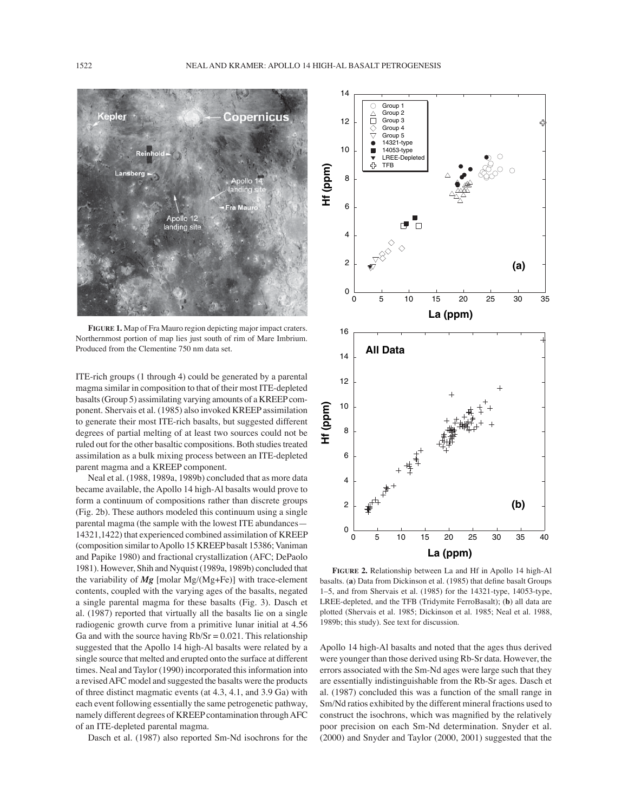

**FIGURE 1.** Map of Fra Mauro region depicting major impact craters. Northernmost portion of map lies just south of rim of Mare Imbrium. Produced from the Clementine 750 nm data set.

ITE-rich groups (1 through 4) could be generated by a parental magma similar in composition to that of their most ITE-depleted basalts (Group 5) assimilating varying amounts of a KREEP component. Shervais et al. (1985) also invoked KREEP assimilation to generate their most ITE-rich basalts, but suggested different degrees of partial melting of at least two sources could not be ruled out for the other basaltic compositions. Both studies treated assimilation as a bulk mixing process between an ITE-depleted parent magma and a KREEP component.

Neal et al. (1988, 1989a, 1989b) concluded that as more data became available, the Apollo 14 high-Al basalts would prove to form a continuum of compositions rather than discrete groups (Fig. 2b). These authors modeled this continuum using a single parental magma (the sample with the lowest ITE abundances -14321,1422) that experienced combined assimilation of KREEP (composition similar to Apollo 15 KREEP basalt 15386; Vaniman and Papike 1980) and fractional crystallization (AFC; DePaolo 1981). However, Shih and Nyquist (1989a, 1989b) concluded that the variability of *Mg* [molar Mg/(Mg+Fe)] with trace-element contents, coupled with the varying ages of the basalts, negated a single parental magma for these basalts (Fig. 3). Dasch et al. (1987) reported that virtually all the basalts lie on a single radiogenic growth curve from a primitive lunar initial at 4.56 Ga and with the source having  $Rb/Sr = 0.021$ . This relationship suggested that the Apollo 14 high-Al basalts were related by a single source that melted and erupted onto the surface at different times. Neal and Taylor (1990) incorporated this information into a revised AFC model and suggested the basalts were the products of three distinct magmatic events (at 4.3, 4.1, and 3.9 Ga) with each event following essentially the same petrogenetic pathway, namely different degrees of KREEP contamination through AFC of an ITE-depleted parental magma.

Dasch et al. (1987) also reported Sm-Nd isochrons for the



**FIGURE 2.** Relationship between La and Hf in Apollo 14 high-Al basalts. (a) Data from Dickinson et al. (1985) that define basalt Groups 1-5, and from Shervais et al. (1985) for the 14321-type, 14053-type, LREE-depleted, and the TFB (Tridymite FerroBasalt); (**b**) all data are plotted (Shervais et al. 1985; Dickinson et al. 1985; Neal et al. 1988, 1989b; this study). See text for discussion.

Apollo 14 high-Al basalts and noted that the ages thus derived were younger than those derived using Rb-Sr data. However, the errors associated with the Sm-Nd ages were large such that they are essentially indistinguishable from the Rb-Sr ages. Dasch et al. (1987) concluded this was a function of the small range in Sm/Nd ratios exhibited by the different mineral fractions used to construct the isochrons, which was magnified by the relatively poor precision on each Sm-Nd determination. Snyder et al. (2000) and Snyder and Taylor (2000, 2001) suggested that the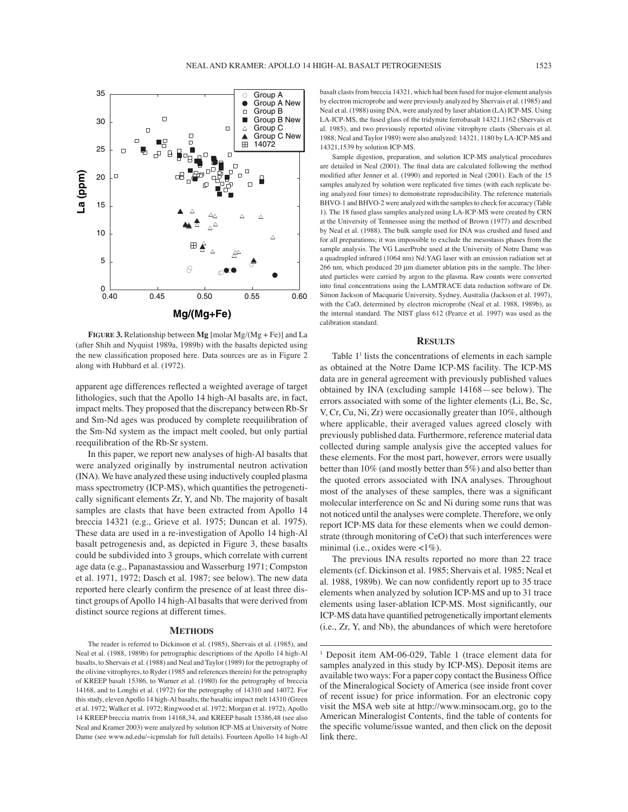

**FIGURE 3.** Relationship between **Mg** [molar Mg/(Mg + Fe)] and La (after Shih and Nyquist 1989a, 1989b) with the basalts depicted using the new classification proposed here. Data sources are as in Figure 2 along with Hubbard et al. (1972).

apparent age differences reflected a weighted average of target lithologies, such that the Apollo 14 high-Al basalts are, in fact, impact melts. They proposed that the discrepancy between Rb-Sr and Sm-Nd ages was produced by complete reequilibration of the Sm-Nd system as the impact melt cooled, but only partial reequilibration of the Rb-Sr system.

In this paper, we report new analyses of high-Al basalts that were analyzed originally by instrumental neutron activation (INA). We have analyzed these using inductively coupled plasma mass spectrometry (ICP-MS), which quantifies the petrogenetically significant elements Zr, Y, and Nb. The majority of basalt samples are clasts that have been extracted from Apollo 14 breccia 14321 (e.g., Grieve et al. 1975; Duncan et al. 1975). These data are used in a re-investigation of Apollo 14 high-Al basalt petrogenesis and, as depicted in Figure 3, these basalts could be subdivided into 3 groups, which correlate with current age data (e.g., Papanastassiou and Wasserburg 1971; Compston et al. 1971, 1972; Dasch et al. 1987; see below). The new data reported here clearly confirm the presence of at least three distinct groups of Apollo 14 high-Al basalts that were derived from distinct source regions at different times.

### **METHODS**

basalt clasts from breccia 14321, which had been fused for major-element analysis by electron microprobe and were previously analyzed by Shervais et al. (1985) and Neal et al. (1988) using INA, were analyzed by laser ablation (LA) ICP-MS. Using LA-ICP-MS, the fused glass of the tridymite ferrobasalt 14321,1162 (Shervais et al. 1985), and two previously reported olivine vitrophyre clasts (Shervais et al. 1988; Neal and Taylor 1989) were also analyzed: 14321, 1180 by LA-ICP-MS and 14321,1539 by solution ICP-MS.

Sample digestion, preparation, and solution ICP-MS analytical procedures are detailed in Neal (2001). The final data are calculated following the method modified after Jenner et al. (1990) and reported in Neal (2001). Each of the 15 samples analyzed by solution were replicated five times (with each replicate being analyzed four times) to demonstrate reproducibility. The reference materials BHVO-1 and BHVO-2 were analyzed with the samples to check for accuracy (Table 1). The 18 fused glass samples analyzed using LA-ICP-MS were created by CRN at the University of Tennessee using the method of Brown (1977) and described by Neal et al. (1988). The bulk sample used for INA was crushed and fused and for all preparations; it was impossible to exclude the mesostasis phases from the sample analysis. The VG LaserProbe used at the University of Notre Dame was a quadrupled infrared (1064 nm) Nd:YAG laser with an emission radiation set at 266 nm, which produced 20 μm diameter ablation pits in the sample. The liberated particles were carried by argon to the plasma. Raw counts were converted into final concentrations using the LAMTRACE data reduction software of Dr. Simon Jackson of Macquarie University, Sydney, Australia (Jackson et al. 1997), with the CaO, determined by electron microprobe (Neal et al. 1988, 1989b), as the internal standard. The NIST glass 612 (Pearce et al. 1997) was used as the calibration standard.

### **RESULTS**

Table 1<sup>1</sup> lists the concentrations of elements in each sample as obtained at the Notre Dame ICP-MS facility. The ICP-MS data are in general agreement with previously published values obtained by INA (excluding sample  $14168$  -see below). The errors associated with some of the lighter elements (Li, Be, Sc, V, Cr, Cu, Ni, Zr) were occasionally greater than 10%, although where applicable, their averaged values agreed closely with previously published data. Furthermore, reference material data collected during sample analysis give the accepted values for these elements. For the most part, however, errors were usually better than 10% (and mostly better than 5%) and also better than the quoted errors associated with INA analyses. Throughout most of the analyses of these samples, there was a significant molecular interference on Sc and Ni during some runs that was not noticed until the analyses were complete. Therefore, we only report ICP-MS data for these elements when we could demonstrate (through monitoring of CeO) that such interferences were minimal (i.e., oxides were <1%).

The previous INA results reported no more than 22 trace elements (cf. Dickinson et al. 1985; Shervais et al. 1985; Neal et al. 1988, 1989b). We can now confidently report up to 35 trace elements when analyzed by solution ICP-MS and up to 31 trace elements using laser-ablation ICP-MS. Most significantly, our ICP-MS data have quantified petrogenetically important elements (i.e., Zr, Y, and Nb), the abundances of which were heretofore

The reader is referred to Dickinson et al. (1985), Shervais et al. (1985), and Neal et al. (1988, 1989b) for petrographic descriptions of the Apollo 14 high-Al basalts, to Shervais et al. (1988) and Neal and Taylor (1989) for the petrography of the olivine vitrophyres, to Ryder (1985 and references therein) for the petrography of KREEP basalt 15386, to Warner et al. (1980) for the petrography of breccia 14168, and to Longhi et al. (1972) for the petrography of 14310 and 14072. For this study, eleven Apollo 14 high-Al basalts, the basaltic impact melt 14310 (Green et al. 1972; Walker et al. 1972; Ringwood et al. 1972; Morgan et al. 1972), Apollo 14 KREEP breccia matrix from 14168,34, and KREEP basalt 15386,48 (see also Neal and Kramer 2003) were analyzed by solution ICP-MS at University of Notre Dame (see www.nd.edu/~icpmslab for full details). Fourteen Apollo 14 high-Al

<sup>&</sup>lt;sup>1</sup> Deposit item AM-06-029, Table 1 (trace element data for samples analyzed in this study by ICP-MS). Deposit items are available two ways: For a paper copy contact the Business Office of the Mineralogical Society of America (see inside front cover of recent issue) for price information. For an electronic copy visit the MSA web site at http://www.minsocam.org, go to the American Mineralogist Contents, find the table of contents for the specific volume/issue wanted, and then click on the deposit link there.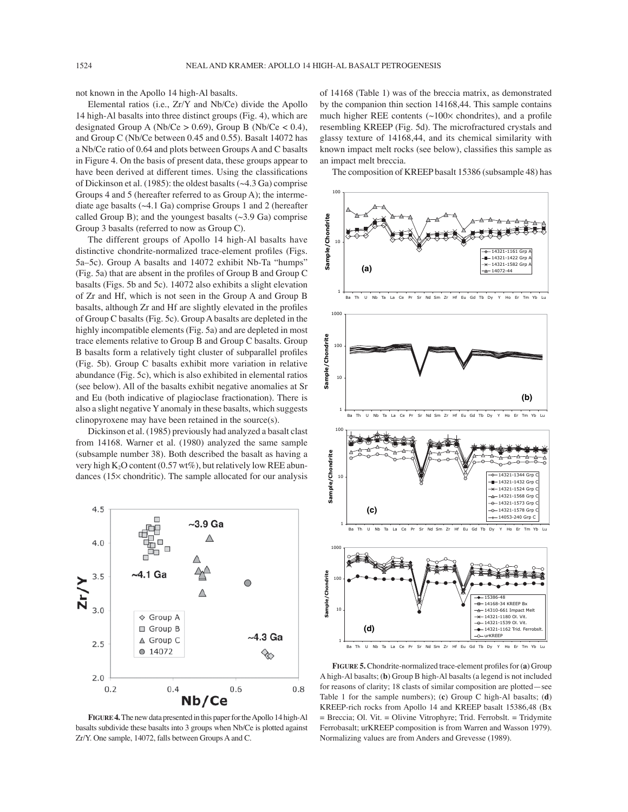not known in the Apollo 14 high-Al basalts.

Elemental ratios (i.e., Zr/Y and Nb/Ce) divide the Apollo 14 high-Al basalts into three distinct groups (Fig. 4), which are designated Group A (Nb/Ce  $> 0.69$ ), Group B (Nb/Ce  $< 0.4$ ), and Group C (Nb/Ce between 0.45 and 0.55). Basalt 14072 has a Nb/Ce ratio of 0.64 and plots between Groups A and C basalts in Figure 4. On the basis of present data, these groups appear to have been derived at different times. Using the classifications of Dickinson et al. (1985): the oldest basalts (~4.3 Ga) comprise Groups 4 and 5 (hereafter referred to as Group A); the intermediate age basalts  $(\sim 4.1 \text{ Ga})$  comprise Groups 1 and 2 (hereafter called Group B); and the youngest basalts  $(\sim 3.9 \text{ Ga})$  comprise Group 3 basalts (referred to now as Group C).

The different groups of Apollo 14 high-Al basalts have distinctive chondrite-normalized trace-element profiles (Figs. 5a–5c). Group A basalts and 14072 exhibit Nb-Ta "humps" (Fig. 5a) that are absent in the profiles of Group B and Group C basalts (Figs. 5b and 5c). 14072 also exhibits a slight elevation of Zr and Hf, which is not seen in the Group A and Group B basalts, although Zr and Hf are slightly elevated in the profiles of Group C basalts (Fig. 5c). Group A basalts are depleted in the highly incompatible elements (Fig. 5a) and are depleted in most trace elements relative to Group B and Group C basalts. Group B basalts form a relatively tight cluster of subparallel profiles (Fig. 5b). Group C basalts exhibit more variation in relative abundance (Fig. 5c), which is also exhibited in elemental ratios (see below). All of the basalts exhibit negative anomalies at Sr and Eu (both indicative of plagioclase fractionation). There is also a slight negative Y anomaly in these basalts, which suggests clinopyroxene may have been retained in the source(s).

Dickinson et al. (1985) previously had analyzed a basalt clast from 14168. Warner et al. (1980) analyzed the same sample (subsample number 38). Both described the basalt as having a very high K<sub>2</sub>O content (0.57 wt%), but relatively low REE abundances (15× chondritic). The sample allocated for our analysis



**FIGURE 4.** The new data presented in this paper for the Apollo 14 high-Al basalts subdivide these basalts into 3 groups when Nb/Ce is plotted against Zr/Y. One sample, 14072, falls between Groups A and C.

of 14168 (Table 1) was of the breccia matrix, as demonstrated by the companion thin section 14168,44. This sample contains much higher REE contents  $(\sim 100 \times$  chondrites), and a profile resembling KREEP (Fig. 5d). The microfractured crystals and glassy texture of 14168,44, and its chemical similarity with known impact melt rocks (see below), classifies this sample as an impact melt breccia.

The composition of KREEP basalt 15386 (subsample 48) has



FIGURE 5. Chondrite-normalized trace-element profiles for (a) Group A high-Al basalts; (**b**) Group B high-Al basalts (a legend is not included for reasons of clarity; 18 clasts of similar composition are plotted - see Table 1 for the sample numbers); (**c**) Group C high-Al basalts; (**d**) KREEP-rich rocks from Apollo 14 and KREEP basalt 15386,48 (Bx = Breccia; Ol. Vit. = Olivine Vitrophyre; Trid. Ferrobslt. = Tridymite Ferrobasalt; urKREEP composition is from Warren and Wasson 1979). Normalizing values are from Anders and Grevesse (1989).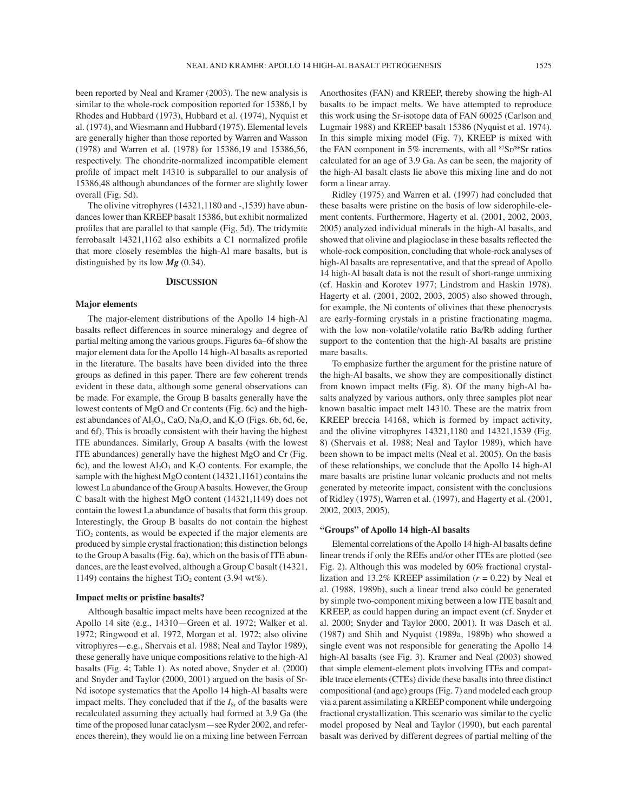been reported by Neal and Kramer (2003). The new analysis is similar to the whole-rock composition reported for 15386,1 by Rhodes and Hubbard (1973), Hubbard et al. (1974), Nyquist et al. (1974), and Wiesmann and Hubbard (1975). Elemental levels are generally higher than those reported by Warren and Wasson (1978) and Warren et al. (1978) for 15386,19 and 15386,56, respectively. The chondrite-normalized incompatible element profile of impact melt 14310 is subparallel to our analysis of 15386,48 although abundances of the former are slightly lower overall (Fig. 5d).

The olivine vitrophyres (14321,1180 and -,1539) have abundances lower than KREEP basalt 15386, but exhibit normalized profiles that are parallel to that sample (Fig. 5d). The tridymite ferrobasalt 14321,1162 also exhibits a C1 normalized profile that more closely resembles the high-Al mare basalts, but is distinguished by its low *Mg* (0.34).

## **DISCUSSION**

### **Major elements**

The major-element distributions of the Apollo 14 high-Al basalts reflect differences in source mineralogy and degree of partial melting among the various groups. Figures 6a–6f show the major element data for the Apollo 14 high-Al basalts as reported in the literature. The basalts have been divided into the three groups as defined in this paper. There are few coherent trends evident in these data, although some general observations can be made. For example, the Group B basalts generally have the lowest contents of MgO and Cr contents (Fig. 6c) and the highest abundances of  $Al_2O_3$ , CaO, Na<sub>2</sub>O, and K<sub>2</sub>O (Figs. 6b, 6d, 6e, and 6f). This is broadly consistent with their having the highest ITE abundances. Similarly, Group A basalts (with the lowest ITE abundances) generally have the highest MgO and Cr (Fig. 6c), and the lowest  $Al_2O_3$  and  $K_2O$  contents. For example, the sample with the highest MgO content (14321,1161) contains the lowest La abundance of the Group A basalts. However, the Group C basalt with the highest MgO content (14321,1149) does not contain the lowest La abundance of basalts that form this group. Interestingly, the Group B basalts do not contain the highest TiO<sub>2</sub> contents, as would be expected if the major elements are produced by simple crystal fractionation; this distinction belongs to the Group A basalts (Fig. 6a), which on the basis of ITE abundances, are the least evolved, although a Group C basalt (14321, 1149) contains the highest  $TiO<sub>2</sub>$  content (3.94 wt%).

## **Impact melts or pristine basalts?**

Although basaltic impact melts have been recognized at the Apollo 14 site (e.g., 14310–Green et al. 1972; Walker et al. 1972; Ringwood et al. 1972, Morgan et al. 1972; also olivine vitrophyres—e.g., Shervais et al. 1988; Neal and Taylor 1989), these generally have unique compositions relative to the high-Al basalts (Fig. 4; Table 1). As noted above, Snyder et al. (2000) and Snyder and Taylor (2000, 2001) argued on the basis of Sr-Nd isotope systematics that the Apollo 14 high-Al basalts were impact melts. They concluded that if the  $I_{S_r}$  of the basalts were recalculated assuming they actually had formed at 3.9 Ga (the time of the proposed lunar cataclysm - see Ryder 2002, and references therein), they would lie on a mixing line between Ferroan Anorthosites (FAN) and KREEP, thereby showing the high-Al basalts to be impact melts. We have attempted to reproduce this work using the Sr-isotope data of FAN 60025 (Carlson and Lugmair 1988) and KREEP basalt 15386 (Nyquist et al. 1974). In this simple mixing model (Fig. 7), KREEP is mixed with the FAN component in 5% increments, with all  $87Sr/86Sr$  ratios calculated for an age of 3.9 Ga. As can be seen, the majority of the high-Al basalt clasts lie above this mixing line and do not form a linear array.

Ridley (1975) and Warren et al. (1997) had concluded that these basalts were pristine on the basis of low siderophile-element contents. Furthermore, Hagerty et al. (2001, 2002, 2003, 2005) analyzed individual minerals in the high-Al basalts, and showed that olivine and plagioclase in these basalts reflected the whole-rock composition, concluding that whole-rock analyses of high-Al basalts are representative, and that the spread of Apollo 14 high-Al basalt data is not the result of short-range unmixing (cf. Haskin and Korotev 1977; Lindstrom and Haskin 1978). Hagerty et al. (2001, 2002, 2003, 2005) also showed through, for example, the Ni contents of olivines that these phenocrysts are early-forming crystals in a pristine fractionating magma, with the low non-volatile/volatile ratio Ba/Rb adding further support to the contention that the high-Al basalts are pristine mare basalts.

To emphasize further the argument for the pristine nature of the high-Al basalts, we show they are compositionally distinct from known impact melts (Fig. 8). Of the many high-Al basalts analyzed by various authors, only three samples plot near known basaltic impact melt 14310. These are the matrix from KREEP breccia 14168, which is formed by impact activity, and the olivine vitrophyres 14321,1180 and 14321,1539 (Fig. 8) (Shervais et al. 1988; Neal and Taylor 1989), which have been shown to be impact melts (Neal et al. 2005). On the basis of these relationships, we conclude that the Apollo 14 high-Al mare basalts are pristine lunar volcanic products and not melts generated by meteorite impact, consistent with the conclusions of Ridley (1975), Warren et al. (1997), and Hagerty et al. (2001, 2002, 2003, 2005).

### **ìGroupsî of Apollo 14 high-Al basalts**

Elemental correlations of the Apollo 14 high-Al basalts define linear trends if only the REEs and/or other ITEs are plotted (see Fig. 2). Although this was modeled by 60% fractional crystallization and 13.2% KREEP assimilation (*r* = 0.22) by Neal et al. (1988, 1989b), such a linear trend also could be generated by simple two-component mixing between a low ITE basalt and KREEP, as could happen during an impact event (cf. Snyder et al. 2000; Snyder and Taylor 2000, 2001). It was Dasch et al. (1987) and Shih and Nyquist (1989a, 1989b) who showed a single event was not responsible for generating the Apollo 14 high-Al basalts (see Fig. 3). Kramer and Neal (2003) showed that simple element-element plots involving ITEs and compatible trace elements (CTEs) divide these basalts into three distinct compositional (and age) groups (Fig. 7) and modeled each group via a parent assimilating a KREEP component while undergoing fractional crystallization. This scenario was similar to the cyclic model proposed by Neal and Taylor (1990), but each parental basalt was derived by different degrees of partial melting of the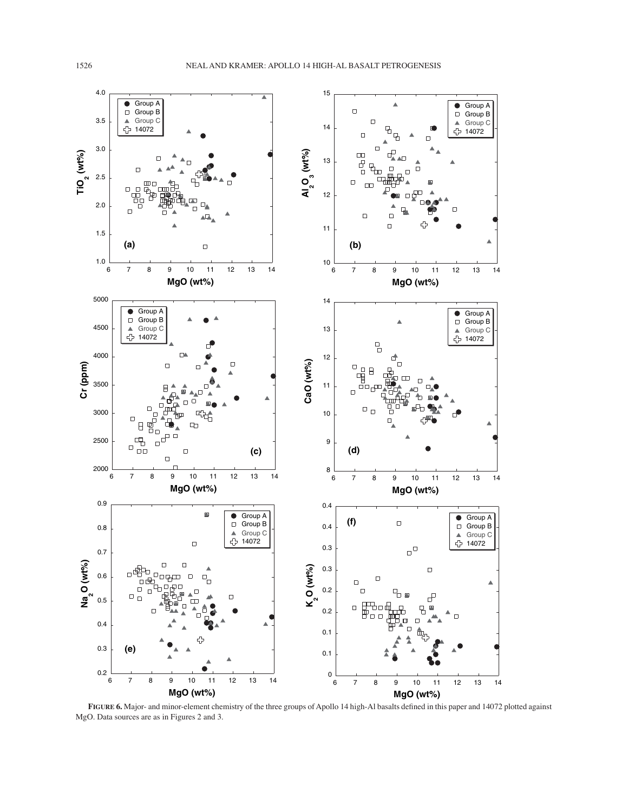![](_page_11_Figure_2.jpeg)

FIGURE 6. Major- and minor-element chemistry of the three groups of Apollo 14 high-Al basalts defined in this paper and 14072 plotted against MgO. Data sources are as in Figures 2 and 3.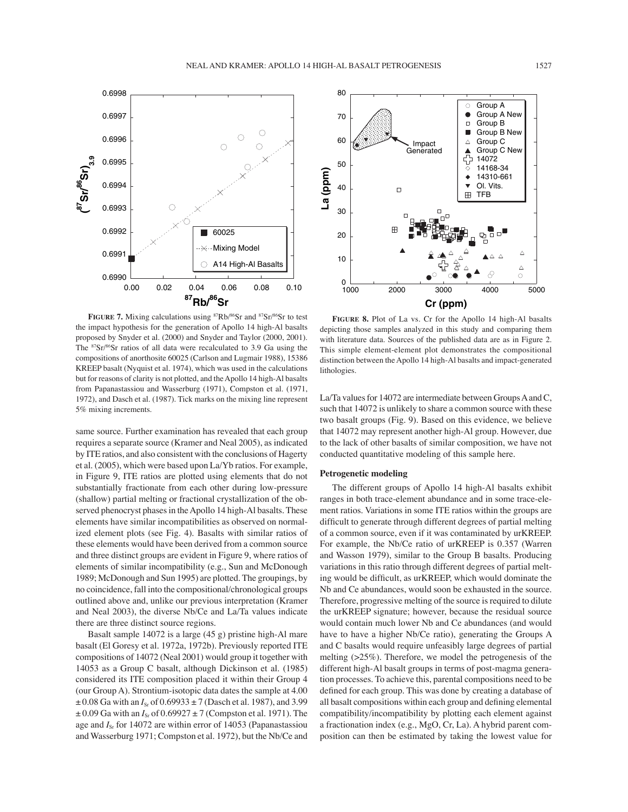![](_page_12_Figure_1.jpeg)

FIGURE 7. Mixing calculations using <sup>87</sup>Rb/<sup>86</sup>Sr and <sup>87</sup>Sr/<sup>86</sup>Sr to test the impact hypothesis for the generation of Apollo 14 high-Al basalts proposed by Snyder et al. (2000) and Snyder and Taylor (2000, 2001). The 87Sr/86Sr ratios of all data were recalculated to 3.9 Ga using the compositions of anorthosite 60025 (Carlson and Lugmair 1988), 15386 KREEP basalt (Nyquist et al. 1974), which was used in the calculations but for reasons of clarity is not plotted, and the Apollo 14 high-Al basalts from Papanastassiou and Wasserburg (1971), Compston et al. (1971, 1972), and Dasch et al. (1987). Tick marks on the mixing line represent 5% mixing increments.

same source. Further examination has revealed that each group requires a separate source (Kramer and Neal 2005), as indicated by ITE ratios, and also consistent with the conclusions of Hagerty et al. (2005), which were based upon La/Yb ratios. For example, in Figure 9, ITE ratios are plotted using elements that do not substantially fractionate from each other during low-pressure (shallow) partial melting or fractional crystallization of the observed phenocryst phases in the Apollo 14 high-Al basalts. These elements have similar incompatibilities as observed on normalized element plots (see Fig. 4). Basalts with similar ratios of these elements would have been derived from a common source and three distinct groups are evident in Figure 9, where ratios of elements of similar incompatibility (e.g., Sun and McDonough 1989; McDonough and Sun 1995) are plotted. The groupings, by no coincidence, fall into the compositional/chronological groups outlined above and, unlike our previous interpretation (Kramer and Neal 2003), the diverse Nb/Ce and La/Ta values indicate there are three distinct source regions.

Basalt sample 14072 is a large (45 g) pristine high-Al mare basalt (El Goresy et al. 1972a, 1972b). Previously reported ITE compositions of 14072 (Neal 2001) would group it together with 14053 as a Group C basalt, although Dickinson et al. (1985) considered its ITE composition placed it within their Group 4 (our Group A). Strontium-isotopic data dates the sample at 4.00  $\pm$  0.08 Ga with an  $I_{\rm Sr}$  of 0.69933  $\pm$  7 (Dasch et al. 1987), and 3.99  $\pm$  0.09 Ga with an  $I_{\rm Sr}$  of 0.69927  $\pm$  7 (Compston et al. 1971). The age and *I*<sub>Sr</sub> for 14072 are within error of 14053 (Papanastassiou and Wasserburg 1971; Compston et al. 1972), but the Nb/Ce and

![](_page_12_Figure_5.jpeg)

**FIGURE 8.** Plot of La vs. Cr for the Apollo 14 high-Al basalts depicting those samples analyzed in this study and comparing them with literature data. Sources of the published data are as in Figure 2. This simple element-element plot demonstrates the compositional distinction between the Apollo 14 high-Al basalts and impact-generated lithologies.

La/Ta values for 14072 are intermediate between Groups A and C, such that 14072 is unlikely to share a common source with these two basalt groups (Fig. 9). Based on this evidence, we believe that 14072 may represent another high-Al group. However, due to the lack of other basalts of similar composition, we have not conducted quantitative modeling of this sample here.

# **Petrogenetic modeling**

The different groups of Apollo 14 high-Al basalts exhibit ranges in both trace-element abundance and in some trace-element ratios. Variations in some ITE ratios within the groups are difficult to generate through different degrees of partial melting of a common source, even if it was contaminated by urKREEP. For example, the Nb/Ce ratio of urKREEP is 0.357 (Warren and Wasson 1979), similar to the Group B basalts. Producing variations in this ratio through different degrees of partial melting would be difficult, as urKREEP, which would dominate the Nb and Ce abundances, would soon be exhausted in the source. Therefore, progressive melting of the source is required to dilute the urKREEP signature; however, because the residual source would contain much lower Nb and Ce abundances (and would have to have a higher Nb/Ce ratio), generating the Groups A and C basalts would require unfeasibly large degrees of partial melting (>25%). Therefore, we model the petrogenesis of the different high-Al basalt groups in terms of post-magma generation processes. To achieve this, parental compositions need to be defined for each group. This was done by creating a database of all basalt compositions within each group and defining elemental compatibility/incompatibility by plotting each element against a fractionation index (e.g., MgO, Cr, La). A hybrid parent composition can then be estimated by taking the lowest value for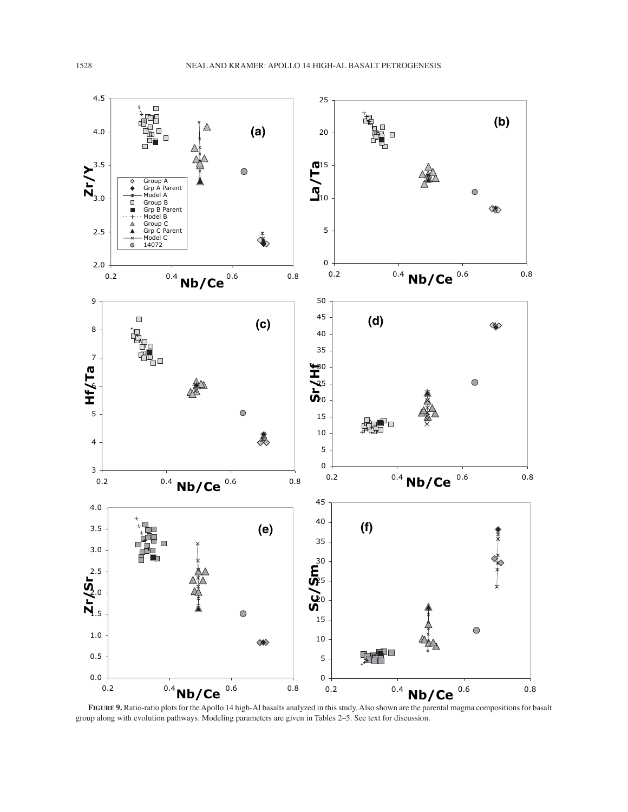![](_page_13_Figure_1.jpeg)

**FIGURE 9.** Ratio-ratio plots for the Apollo 14 high-Al basalts analyzed in this study. Also shown are the parental magma compositions for basalt group along with evolution pathways. Modeling parameters are given in Tables 2-5. See text for discussion.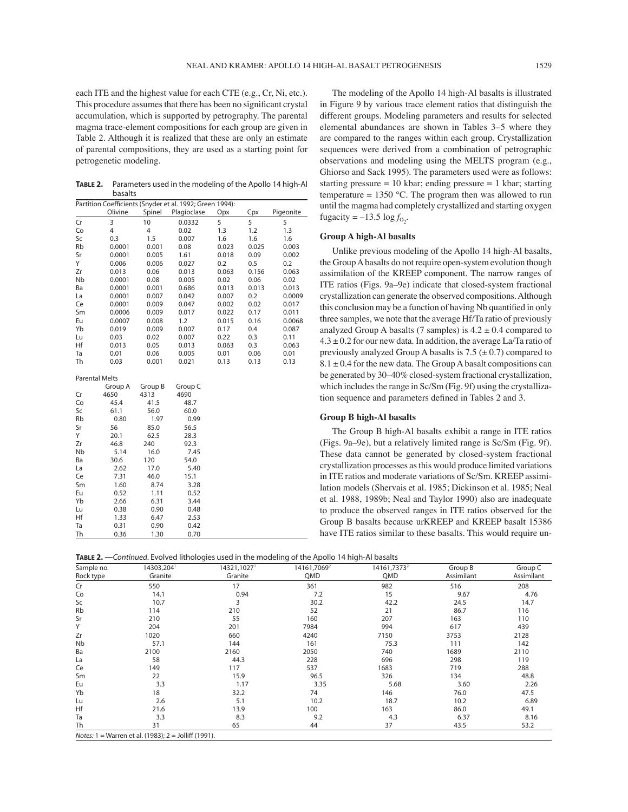each ITE and the highest value for each CTE (e.g., Cr, Ni, etc.). This procedure assumes that there has been no significant crystal accumulation, which is supported by petrography. The parental magma trace-element compositions for each group are given in Table 2. Although it is realized that these are only an estimate of parental compositions, they are used as a starting point for petrogenetic modeling.

**TABLE 2.** Parameters used in the modeling of the Apollo 14 high-Al basalts

|                       |         |         | Partition Coefficients (Snyder et al. 1992; Green 1994): |       |       |           |
|-----------------------|---------|---------|----------------------------------------------------------|-------|-------|-----------|
|                       | Olivine | Spinel  | Plagioclase                                              | Opx   | Cpx   | Pigeonite |
| Cr                    | 3       | 10      | 0.0332                                                   | 5     | 5     | 5         |
| Co                    | 4       | 4       | 0.02                                                     | 1.3   | 1.2   | 1.3       |
| Sc                    | 0.3     | 1.5     | 0.007                                                    | 1.6   | 1.6   | 1.6       |
| Rb                    | 0.0001  | 0.001   | 0.08                                                     | 0.023 | 0.025 | 0.003     |
| Sr                    | 0.0001  | 0.005   | 1.61                                                     | 0.018 | 0.09  | 0.002     |
| Y                     | 0.006   | 0.006   | 0.027                                                    | 0.2   | 0.5   | 0.2       |
| Zr                    | 0.013   | 0.06    | 0.013                                                    | 0.063 | 0.156 | 0.063     |
| Nb                    | 0.0001  | 0.08    | 0.005                                                    | 0.02  | 0.06  | 0.02      |
| Ba                    | 0.0001  | 0.001   | 0.686                                                    | 0.013 | 0.013 | 0.013     |
| La                    | 0.0001  | 0.007   | 0.042                                                    | 0.007 | 0.2   | 0.0009    |
| Ce                    | 0.0001  | 0.009   | 0.047                                                    | 0.002 | 0.02  | 0.017     |
| Sm                    | 0.0006  | 0.009   | 0.017                                                    | 0.022 | 0.17  | 0.011     |
| Eu                    | 0.0007  | 0.008   | 1.2                                                      | 0.015 | 0.16  | 0.0068    |
| Yb                    | 0.019   | 0.009   | 0.007                                                    | 0.17  | 0.4   | 0.087     |
| Lu                    | 0.03    | 0.02    | 0.007                                                    | 0.22  | 0.3   | 0.11      |
| Hf                    | 0.013   | 0.05    | 0.013                                                    | 0.063 | 0.3   | 0.063     |
| Ta                    | 0.01    | 0.06    | 0.005                                                    | 0.01  | 0.06  | 0.01      |
| Th                    | 0.03    | 0.001   | 0.021                                                    | 0.13  | 0.13  | 0.13      |
| <b>Parental Melts</b> |         |         |                                                          |       |       |           |
|                       | Group A | Group B | Group C                                                  |       |       |           |
| Cr                    | 4650    | 4313    | 4690                                                     |       |       |           |
| Co                    | 45.4    | 41.5    | 48.7                                                     |       |       |           |
| Sc                    | 61.1    | 56.0    | 60.0                                                     |       |       |           |
| Rb                    | 0.80    | 1.97    | 0.99                                                     |       |       |           |
| Sr                    | 56      | 85.0    | 56.5                                                     |       |       |           |
| Y                     | 20.1    | 62.5    | 28.3                                                     |       |       |           |
| Zr                    | 46.8    | 240     | 92.3                                                     |       |       |           |
| Nb                    | 5.14    | 16.0    | 7.45                                                     |       |       |           |
| Ba                    | 30.6    | 120     | 54.0                                                     |       |       |           |
| La                    | 2.62    | 17.0    | 5.40                                                     |       |       |           |
| Ce                    | 7.31    | 46.0    | 15.1                                                     |       |       |           |
| Sm                    | 1.60    | 8.74    | 3.28                                                     |       |       |           |
| Eu                    | 0.52    | 1.11    | 0.52                                                     |       |       |           |
| Yb                    | 2.66    | 6.31    | 3.44                                                     |       |       |           |
| Lu                    | 0.38    | 0.90    | 0.48                                                     |       |       |           |
| Hf                    | 1.33    | 6.47    | 2.53                                                     |       |       |           |
| Ta                    | 0.31    | 0.90    | 0.42                                                     |       |       |           |
| Th                    | 0.36    | 1.30    | 0.70                                                     |       |       |           |

The modeling of the Apollo 14 high-Al basalts is illustrated in Figure 9 by various trace element ratios that distinguish the different groups. Modeling parameters and results for selected elemental abundances are shown in Tables 3–5 where they are compared to the ranges within each group. Crystallization sequences were derived from a combination of petrographic observations and modeling using the MELTS program (e.g., Ghiorso and Sack 1995). The parameters used were as follows: starting pressure  $= 10$  kbar; ending pressure  $= 1$  kbar; starting temperature =  $1350$  °C. The program then was allowed to run until the magma had completely crystallized and starting oxygen fugacity =  $-13.5 \log f_{\text{O}_2}$ .

# **Group A high-Al basalts**

Unlike previous modeling of the Apollo 14 high-Al basalts, the Group A basalts do not require open-system evolution though assimilation of the KREEP component. The narrow ranges of ITE ratios (Figs. 9a–9e) indicate that closed-system fractional crystallization can generate the observed compositions. Although this conclusion may be a function of having Nb quantified in only three samples, we note that the average Hf/Ta ratio of previously analyzed Group A basalts (7 samples) is  $4.2 \pm 0.4$  compared to  $4.3 \pm 0.2$  for our new data. In addition, the average La/Ta ratio of previously analyzed Group A basalts is 7.5 ( $\pm$  0.7) compared to  $8.1 \pm 0.4$  for the new data. The Group A basalt compositions can be generated by 30–40% closed-system fractional crystallization, which includes the range in Sc/Sm (Fig. 9f) using the crystallization sequence and parameters defined in Tables 2 and 3.

# **Group B high-Al basalts**

The Group B high-Al basalts exhibit a range in ITE ratios (Figs. 9a–9e), but a relatively limited range is  $Sc/Sm$  (Fig. 9f). These data cannot be generated by closed-system fractional crystallization processes as this would produce limited variations in ITE ratios and moderate variations of Sc/Sm. KREEP assimilation models (Shervais et al. 1985; Dickinson et al. 1985; Neal et al. 1988, 1989b; Neal and Taylor 1990) also are inadequate to produce the observed ranges in ITE ratios observed for the Group B basalts because urKREEP and KREEP basalt 15386 have ITE ratios similar to these basalts. This would require un-

| <b>TABLE 2.</b> —Continued. Evolved lithologies used in the modeling of the Apollo 14 high-Al basalts |  |  |
|-------------------------------------------------------------------------------------------------------|--|--|
|                                                                                                       |  |  |

| Sample no.           | 14303,204                                            | 14321,1027 | 14161,7069 <sup>2</sup> | 14161,7373 <sup>2</sup> | Group B    | Group C    |
|----------------------|------------------------------------------------------|------------|-------------------------|-------------------------|------------|------------|
| Rock type            | Granite                                              | Granite    | QMD                     | QMD                     | Assimilant | Assimilant |
| Cr                   | 550                                                  | 17         | 361                     | 982                     | 516        | 208        |
| Co                   | 14.1                                                 | 0.94       | 7.2                     | 15                      | 9.67       | 4.76       |
| Sc                   | 10.7                                                 | 3          | 30.2                    | 42.2                    | 24.5       | 14.7       |
| Rb                   | 114                                                  | 210        | 52                      | 21                      | 86.7       | 116        |
| Sr                   | 210                                                  | 55         | 160                     | 207                     | 163        | 110        |
| Y                    | 204                                                  | 201        | 7984                    | 994                     | 617        | 439        |
| Zr                   | 1020                                                 | 660        | 4240                    | 7150                    | 3753       | 2128       |
| <b>N<sub>b</sub></b> | 57.1                                                 | 144        | 161                     | 75.3                    | 111        | 142        |
| Ba                   | 2100                                                 | 2160       | 2050                    | 740                     | 1689       | 2110       |
| La                   | 58                                                   | 44.3       | 228                     | 696                     | 298        | 119        |
| Ce                   | 149                                                  | 117        | 537                     | 1683                    | 719        | 288        |
| Sm                   | 22                                                   | 15.9       | 96.5                    | 326                     | 134        | 48.8       |
| Eu                   | 3.3                                                  | 1.17       | 3.35                    | 5.68                    | 3.60       | 2.26       |
| Yb                   | 18                                                   | 32.2       | 74                      | 146                     | 76.0       | 47.5       |
| Lu                   | 2.6                                                  | 5.1        | 10.2                    | 18.7                    | 10.2       | 6.89       |
| Hf                   | 21.6                                                 | 13.9       | 100                     | 163                     | 86.0       | 49.1       |
| Ta                   | 3.3                                                  | 8.3        | 9.2                     | 4.3                     | 6.37       | 8.16       |
| <b>Th</b>            | 31                                                   | 65         | 44                      | 37                      | 43.5       | 53.2       |
|                      | Notes: 1 = Warren et al. (1983); 2 = Jolliff (1991). |            |                         |                         |            |            |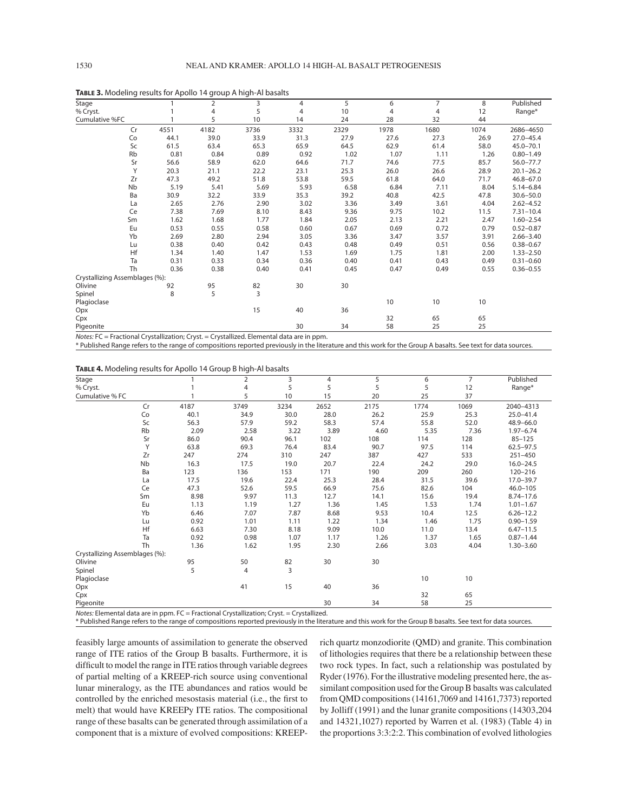| Stage                          |    |      | 2    | 3    | 4    | 5    | 6    | 7    | 8    | Published     |
|--------------------------------|----|------|------|------|------|------|------|------|------|---------------|
| % Cryst.                       |    |      | 4    | 5    | 4    | 10   | 4    | 4    | 12   | Range*        |
| Cumulative %FC                 |    |      | 5    | 10   | 14   | 24   | 28   | 32   | 44   |               |
|                                | Cr | 4551 | 4182 | 3736 | 3332 | 2329 | 1978 | 1680 | 1074 | 2686-4650     |
|                                | Co | 44.1 | 39.0 | 33.9 | 31.3 | 27.9 | 27.6 | 27.3 | 26.9 | $27.0 - 45.4$ |
|                                | Sc | 61.5 | 63.4 | 65.3 | 65.9 | 64.5 | 62.9 | 61.4 | 58.0 | $45.0 - 70.1$ |
|                                | Rb | 0.81 | 0.84 | 0.89 | 0.92 | 1.02 | 1.07 | 1.11 | 1.26 | $0.80 - 1.49$ |
|                                | Sr | 56.6 | 58.9 | 62.0 | 64.6 | 71.7 | 74.6 | 77.5 | 85.7 | $56.0 - 77.7$ |
|                                | Υ  | 20.3 | 21.1 | 22.2 | 23.1 | 25.3 | 26.0 | 26.6 | 28.9 | $20.1 - 26.2$ |
|                                | Zr | 47.3 | 49.2 | 51.8 | 53.8 | 59.5 | 61.8 | 64.0 | 71.7 | $46.8 - 67.0$ |
|                                | Nb | 5.19 | 5.41 | 5.69 | 5.93 | 6.58 | 6.84 | 7.11 | 8.04 | $5.14 - 6.84$ |
|                                | Ba | 30.9 | 32.2 | 33.9 | 35.3 | 39.2 | 40.8 | 42.5 | 47.8 | $30.6 - 50.0$ |
|                                | La | 2.65 | 2.76 | 2.90 | 3.02 | 3.36 | 3.49 | 3.61 | 4.04 | $2.62 - 4.52$ |
|                                | Ce | 7.38 | 7.69 | 8.10 | 8.43 | 9.36 | 9.75 | 10.2 | 11.5 | $7.31 - 10.4$ |
|                                | Sm | 1.62 | 1.68 | 1.77 | 1.84 | 2.05 | 2.13 | 2.21 | 2.47 | $1.60 - 2.54$ |
|                                | Eu | 0.53 | 0.55 | 0.58 | 0.60 | 0.67 | 0.69 | 0.72 | 0.79 | $0.52 - 0.87$ |
|                                | Yb | 2.69 | 2.80 | 2.94 | 3.05 | 3.36 | 3.47 | 3.57 | 3.91 | $2.66 - 3.40$ |
|                                | Lu | 0.38 | 0.40 | 0.42 | 0.43 | 0.48 | 0.49 | 0.51 | 0.56 | $0.38 - 0.67$ |
|                                | Hf | 1.34 | 1.40 | 1.47 | 1.53 | 1.69 | 1.75 | 1.81 | 2.00 | $1.33 - 2.50$ |
|                                | Ta | 0.31 | 0.33 | 0.34 | 0.36 | 0.40 | 0.41 | 0.43 | 0.49 | $0.31 - 0.60$ |
|                                | Th | 0.36 | 0.38 | 0.40 | 0.41 | 0.45 | 0.47 | 0.49 | 0.55 | $0.36 - 0.55$ |
| Crystallizing Assemblages (%): |    |      |      |      |      |      |      |      |      |               |
| Olivine                        |    | 92   | 95   | 82   | 30   | 30   |      |      |      |               |
| Spinel                         |    | 8    | 5    | 3    |      |      |      |      |      |               |
| Plagioclase                    |    |      |      |      |      |      | 10   | 10   | 10   |               |
| Opx                            |    |      |      | 15   | 40   | 36   |      |      |      |               |
| Cpx                            |    |      |      |      |      |      | 32   | 65   | 65   |               |
| Pigeonite                      |    |      |      |      | 30   | 34   | 58   | 25   | 25   |               |

**TABLE 3.** Modeling results for Apollo 14 group A high-Al basalts

Notes: FC = Fractional Crystallization; Cryst. = Crystallized. Elemental data are in ppm.

\* Published Range refers to the range of compositions reported previously in the literature and this work for the Group A basalts. See text for data sources.

**TABLE 4.** Modeling results for Apollo 14 Group B high-Al basalts

| Stage                          |                                               |      | $\overline{2}$                                                                                                                                                    | 3    | 4    | 5    | 6    | $\overline{7}$ | Published     |
|--------------------------------|-----------------------------------------------|------|-------------------------------------------------------------------------------------------------------------------------------------------------------------------|------|------|------|------|----------------|---------------|
| % Cryst.                       |                                               |      | 4                                                                                                                                                                 | 5    | 5    | 5    | 5    | 12             | Range*        |
| Cumulative % FC                |                                               |      | 5                                                                                                                                                                 | 10   | 15   | 20   | 25   | 37             |               |
|                                | Cr                                            | 4187 | 3749                                                                                                                                                              | 3234 | 2652 | 2175 | 1774 | 1069           | 2040-4313     |
|                                | Co                                            | 40.1 | 34.9                                                                                                                                                              | 30.0 | 28.0 | 26.2 | 25.9 | 25.3           | $25.0 - 41.4$ |
|                                | Sc                                            | 56.3 | 57.9                                                                                                                                                              | 59.2 | 58.3 | 57.4 | 55.8 | 52.0           | 48.9-66.0     |
|                                | Rb                                            | 2.09 | 2.58                                                                                                                                                              | 3.22 | 3.89 | 4.60 | 5.35 | 7.36           | $1.97 - 6.74$ |
|                                | Sr                                            | 86.0 | 90.4                                                                                                                                                              | 96.1 | 102  | 108  | 114  | 128            | $85 - 125$    |
|                                | Υ                                             | 63.8 | 69.3                                                                                                                                                              | 76.4 | 83.4 | 90.7 | 97.5 | 114            | $62.5 - 97.5$ |
|                                | Zr                                            | 247  | 274                                                                                                                                                               | 310  | 247  | 387  | 427  | 533            | $251 - 450$   |
|                                | Nb                                            | 16.3 | 17.5                                                                                                                                                              | 19.0 | 20.7 | 22.4 | 24.2 | 29.0           | $16.0 - 24.5$ |
|                                | Ba                                            | 123  | 136                                                                                                                                                               | 153  | 171  | 190  | 209  | 260            | 120-216       |
|                                | La                                            | 17.5 | 19.6                                                                                                                                                              | 22.4 | 25.3 | 28.4 | 31.5 | 39.6           | $17.0 - 39.7$ |
|                                | Ce                                            | 47.3 | 52.6                                                                                                                                                              | 59.5 | 66.9 | 75.6 | 82.6 | 104            | $46.0 - 105$  |
|                                | Sm                                            | 8.98 | 9.97                                                                                                                                                              | 11.3 | 12.7 | 14.1 | 15.6 | 19.4           | $8.74 - 17.6$ |
|                                | Eu                                            | 1.13 | 1.19                                                                                                                                                              | 1.27 | 1.36 | 1.45 | 1.53 | 1.74           | $1.01 - 1.67$ |
|                                | Yb                                            | 6.46 | 7.07                                                                                                                                                              | 7.87 | 8.68 | 9.53 | 10.4 | 12.5           | $6.26 - 12.2$ |
|                                | Lu                                            | 0.92 | 1.01                                                                                                                                                              | 1.11 | 1.22 | 1.34 | 1.46 | 1.75           | $0.90 - 1.59$ |
|                                | Hf                                            | 6.63 | 7.30                                                                                                                                                              | 8.18 | 9.09 | 10.0 | 11.0 | 13.4           | $6.47 - 11.5$ |
|                                | Ta                                            | 0.92 | 0.98                                                                                                                                                              | 1.07 | 1.17 | 1.26 | 1.37 | 1.65           | $0.87 - 1.44$ |
|                                | Th                                            | 1.36 | 1.62                                                                                                                                                              | 1.95 | 2.30 | 2.66 | 3.03 | 4.04           | $1.30 - 3.60$ |
| Crystallizing Assemblages (%): |                                               |      |                                                                                                                                                                   |      |      |      |      |                |               |
| Olivine                        |                                               | 95   | 50                                                                                                                                                                | 82   | 30   | 30   |      |                |               |
| Spinel                         |                                               | 5    | $\overline{4}$                                                                                                                                                    | 3    |      |      |      |                |               |
| Plagioclase                    |                                               |      |                                                                                                                                                                   |      |      |      | 10   | 10             |               |
| Opx                            |                                               |      | 41                                                                                                                                                                | 15   | 40   | 36   |      |                |               |
| Cpx                            |                                               |      |                                                                                                                                                                   |      |      |      | 32   | 65             |               |
| Pigeonite                      | a compatibility may be considered as a series |      | $F_{\mathcal{L}}$ $F_{\mathcal{L}}$ . The set of $F_{\mathcal{L}}$ is the set of $F_{\mathcal{L}}$ is the set of $F_{\mathcal{L}}$ . The set of $F_{\mathcal{L}}$ |      | 30   | 34   | 58   | 25             |               |

Notes: Elemental data are in ppm. FC = Fractional Crystallization; Cryst. = Crystallized.

\* Published Range refers to the range of compositions reported previously in the literature and this work for the Group B basalts. See text for data sources.

feasibly large amounts of assimilation to generate the observed range of ITE ratios of the Group B basalts. Furthermore, it is difficult to model the range in ITE ratios through variable degrees of partial melting of a KREEP-rich source using conventional lunar mineralogy, as the ITE abundances and ratios would be controlled by the enriched mesostasis material (i.e., the first to melt) that would have KREEPy ITE ratios. The compositional range of these basalts can be generated through assimilation of a component that is a mixture of evolved compositions: KREEP-

rich quartz monzodiorite (QMD) and granite. This combination of lithologies requires that there be a relationship between these two rock types. In fact, such a relationship was postulated by Ryder (1976). For the illustrative modeling presented here, the assimilant composition used for the Group B basalts was calculated from QMD compositions (14161,7069 and 14161,7373) reported by Jolliff (1991) and the lunar granite compositions (14303,204 and 14321,1027) reported by Warren et al. (1983) (Table 4) in the proportions 3:3:2:2. This combination of evolved lithologies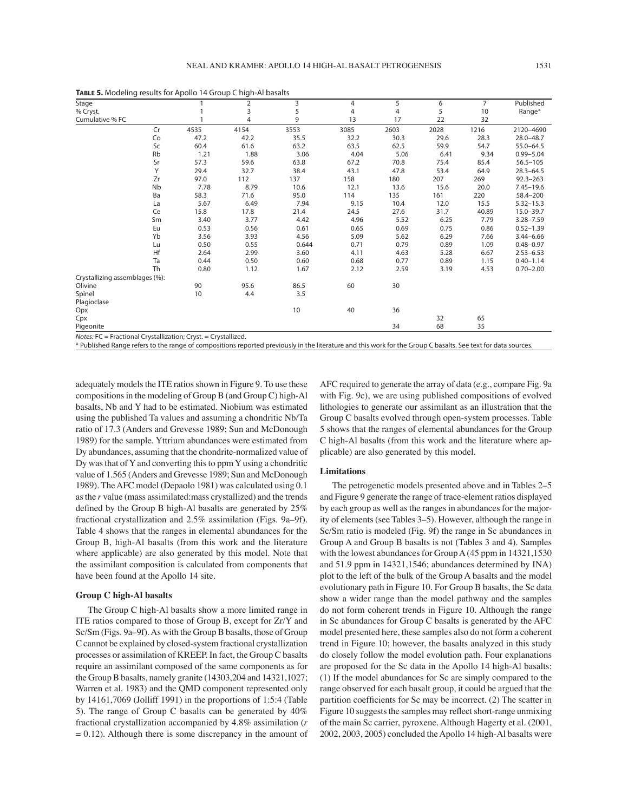| Stage                          |      | ╯<br>$\overline{2}$ | 3     | 4    | 5              | 6    | $\overline{7}$ | Published     |
|--------------------------------|------|---------------------|-------|------|----------------|------|----------------|---------------|
| % Cryst.                       |      | $\overline{3}$      | 5     | 4    | $\overline{4}$ | 5    | 10             | Range*        |
| Cumulative % FC                |      | $\overline{4}$      | 9     | 13   | 17             | 22   | 32             |               |
| Cr                             | 4535 | 4154                | 3553  | 3085 | 2603           | 2028 | 1216           | 2120-4690     |
| Co                             | 47.2 | 42.2                | 35.5  | 32.2 | 30.3           | 29.6 | 28.3           | $28.0 - 48.7$ |
| Sc                             | 60.4 | 61.6                | 63.2  | 63.5 | 62.5           | 59.9 | 54.7           | $55.0 - 64.5$ |
| Rb                             | 1.21 | 1.88                | 3.06  | 4.04 | 5.06           | 6.41 | 9.34           | $0.99 - 5.04$ |
| Sr                             | 57.3 | 59.6                | 63.8  | 67.2 | 70.8           | 75.4 | 85.4           | $56.5 - 105$  |
| Y                              | 29.4 | 32.7                | 38.4  | 43.1 | 47.8           | 53.4 | 64.9           | $28.3 - 64.5$ |
| Zr                             | 97.0 | 112                 | 137   | 158  | 180            | 207  | 269            | $92.3 - 263$  |
| Nb                             | 7.78 | 8.79                | 10.6  | 12.1 | 13.6           | 15.6 | 20.0           | $7.45 - 19.6$ |
| Ba                             | 58.3 | 71.6                | 95.0  | 114  | 135            | 161  | 220            | 58.4-200      |
| La                             | 5.67 | 6.49                | 7.94  | 9.15 | 10.4           | 12.0 | 15.5           | $5.32 - 15.3$ |
| Ce                             | 15.8 | 17.8                | 21.4  | 24.5 | 27.6           | 31.7 | 40.89          | $15.0 - 39.7$ |
| Sm                             | 3.40 | 3.77                | 4.42  | 4.96 | 5.52           | 6.25 | 7.79           | $3.28 - 7.59$ |
| Eu                             | 0.53 | 0.56                | 0.61  | 0.65 | 0.69           | 0.75 | 0.86           | $0.52 - 1.39$ |
| Yb                             | 3.56 | 3.93                | 4.56  | 5.09 | 5.62           | 6.29 | 7.66           | $3.44 - 6.66$ |
| Lu                             | 0.50 | 0.55                | 0.644 | 0.71 | 0.79           | 0.89 | 1.09           | $0.48 - 0.97$ |
| Hf                             | 2.64 | 2.99                | 3.60  | 4.11 | 4.63           | 5.28 | 6.67           | $2.53 - 6.53$ |
| Ta                             | 0.44 | 0.50                | 0.60  | 0.68 | 0.77           | 0.89 | 1.15           | $0.40 - 1.14$ |
| <b>Th</b>                      | 0.80 | 1.12                | 1.67  | 2.12 | 2.59           | 3.19 | 4.53           | $0.70 - 2.00$ |
| Crystallizing assemblages (%): |      |                     |       |      |                |      |                |               |
| Olivine                        | 90   | 95.6                | 86.5  | 60   | 30             |      |                |               |
| Spinel                         | 10   | 4.4                 | 3.5   |      |                |      |                |               |
| Plagioclase                    |      |                     |       |      |                |      |                |               |
| Opx                            |      |                     | 10    | 40   | 36             |      |                |               |
| Cpx                            |      |                     |       |      |                | 32   | 65             |               |
| Pigeonite                      |      |                     |       |      | 34             | 68   | 35             |               |

**TABLE 5.** Modeling results for Apollo 14 Group C high-Al basalts

 $Note: FC = Fractional Crvstallization: Crvst = Crvstallized.$ 

\* Published Range refers to the range of compositions reported previously in the literature and this work for the Group C basalts. See text for data sources.

adequately models the ITE ratios shown in Figure 9. To use these compositions in the modeling of Group B (and Group C) high-Al basalts, Nb and Y had to be estimated. Niobium was estimated using the published Ta values and assuming a chondritic Nb/Ta ratio of 17.3 (Anders and Grevesse 1989; Sun and McDonough 1989) for the sample. Yttrium abundances were estimated from Dy abundances, assuming that the chondrite-normalized value of Dy was that of Y and converting this to ppm Y using a chondritic value of 1.565 (Anders and Grevesse 1989; Sun and McDonough 1989). The AFC model (Depaolo 1981) was calculated using 0.1 as the *r* value (mass assimilated:mass crystallized) and the trends defined by the Group B high-Al basalts are generated by 25% fractional crystallization and  $2.5\%$  assimilation (Figs. 9a-9f). Table 4 shows that the ranges in elemental abundances for the Group B, high-Al basalts (from this work and the literature where applicable) are also generated by this model. Note that the assimilant composition is calculated from components that have been found at the Apollo 14 site.

# **Group C high-Al basalts**

The Group C high-Al basalts show a more limited range in ITE ratios compared to those of Group B, except for Zr/Y and Sc/Sm (Figs. 9a–9f). As with the Group B basalts, those of Group C cannot be explained by closed-system fractional crystallization processes or assimilation of KREEP. In fact, the Group C basalts require an assimilant composed of the same components as for the Group B basalts, namely granite (14303,204 and 14321,1027; Warren et al. 1983) and the QMD component represented only by 14161,7069 (Jolliff 1991) in the proportions of 1:5:4 (Table 5). The range of Group C basalts can be generated by 40% fractional crystallization accompanied by 4.8% assimilation (*r*  $= 0.12$ ). Although there is some discrepancy in the amount of AFC required to generate the array of data (e.g., compare Fig. 9a with Fig. 9c), we are using published compositions of evolved lithologies to generate our assimilant as an illustration that the Group C basalts evolved through open-system processes. Table 5 shows that the ranges of elemental abundances for the Group C high-Al basalts (from this work and the literature where applicable) are also generated by this model.

#### **Limitations**

The petrogenetic models presented above and in Tables 2-5 and Figure 9 generate the range of trace-element ratios displayed by each group as well as the ranges in abundances for the majority of elements (see Tables 3–5). However, although the range in Sc/Sm ratio is modeled (Fig. 9f) the range in Sc abundances in Group A and Group B basalts is not (Tables 3 and 4). Samples with the lowest abundances for Group A (45 ppm in 14321,1530 and 51.9 ppm in 14321,1546; abundances determined by INA) plot to the left of the bulk of the Group A basalts and the model evolutionary path in Figure 10. For Group B basalts, the Sc data show a wider range than the model pathway and the samples do not form coherent trends in Figure 10. Although the range in Sc abundances for Group C basalts is generated by the AFC model presented here, these samples also do not form a coherent trend in Figure 10; however, the basalts analyzed in this study do closely follow the model evolution path. Four explanations are proposed for the Sc data in the Apollo 14 high-Al basalts: (1) If the model abundances for Sc are simply compared to the range observed for each basalt group, it could be argued that the partition coefficients for Sc may be incorrect.  $(2)$  The scatter in Figure 10 suggests the samples may reflect short-range unmixing of the main Sc carrier, pyroxene. Although Hagerty et al. (2001, 2002, 2003, 2005) concluded the Apollo 14 high-Al basalts were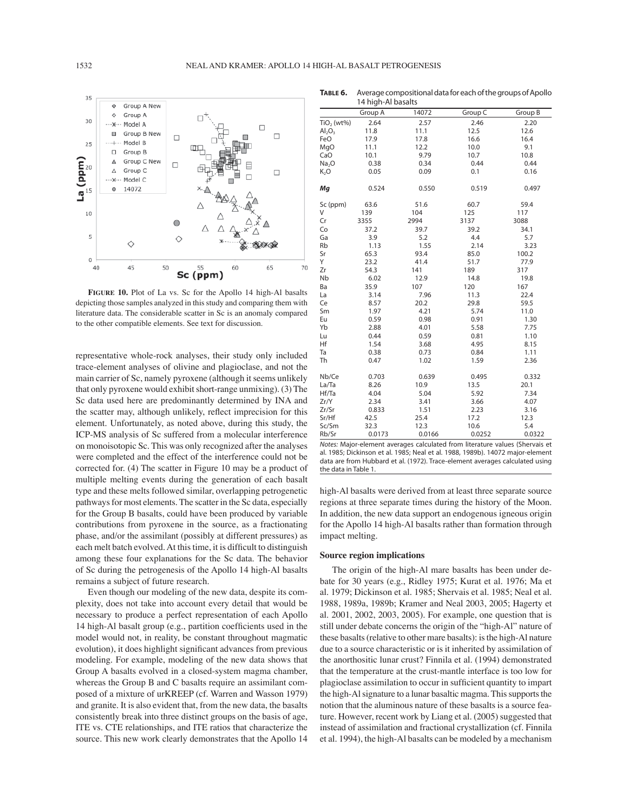![](_page_17_Figure_2.jpeg)

**FIGURE 10.** Plot of La vs. Sc for the Apollo 14 high-Al basalts depicting those samples analyzed in this study and comparing them with literature data. The considerable scatter in Sc is an anomaly compared to the other compatible elements. See text for discussion.

representative whole-rock analyses, their study only included trace-element analyses of olivine and plagioclase, and not the main carrier of Sc, namely pyroxene (although it seems unlikely that only pyroxene would exhibit short-range unmixing). (3) The Sc data used here are predominantly determined by INA and the scatter may, although unlikely, reflect imprecision for this element. Unfortunately, as noted above, during this study, the ICP-MS analysis of Sc suffered from a molecular interference on monoisotopic Sc. This was only recognized after the analyses were completed and the effect of the interference could not be corrected for. (4) The scatter in Figure 10 may be a product of multiple melting events during the generation of each basalt type and these melts followed similar, overlapping petrogenetic pathways for most elements. The scatter in the Sc data, especially for the Group B basalts, could have been produced by variable contributions from pyroxene in the source, as a fractionating phase, and/or the assimilant (possibly at different pressures) as each melt batch evolved. At this time, it is difficult to distinguish among these four explanations for the Sc data. The behavior of Sc during the petrogenesis of the Apollo 14 high-Al basalts remains a subject of future research.

Even though our modeling of the new data, despite its complexity, does not take into account every detail that would be necessary to produce a perfect representation of each Apollo 14 high-Al basalt group (e.g., partition coefficients used in the model would not, in reality, be constant throughout magmatic evolution), it does highlight significant advances from previous modeling. For example, modeling of the new data shows that Group A basalts evolved in a closed-system magma chamber, whereas the Group B and C basalts require an assimilant composed of a mixture of urKREEP (cf. Warren and Wasson 1979) and granite. It is also evident that, from the new data, the basalts consistently break into three distinct groups on the basis of age, ITE vs. CTE relationships, and ITE ratios that characterize the source. This new work clearly demonstrates that the Apollo 14

| 14 high-Al basalts             |         |       |         |         |  |  |
|--------------------------------|---------|-------|---------|---------|--|--|
|                                | Group A | 14072 | Group C | Group B |  |  |
| TiO <sub>2</sub> (wt%)         | 2.64    | 2.57  | 2.46    | 2.20    |  |  |
| Al <sub>2</sub> O <sub>3</sub> | 11.8    | 11.1  | 12.5    | 12.6    |  |  |
| FeO                            | 17.9    | 17.8  | 16.6    | 16.4    |  |  |
| MgO                            | 11.1    | 12.2  | 10.0    | 9.1     |  |  |
| CaO                            | 10.1    | 9.79  | 10.7    | 10.8    |  |  |
| Na <sub>2</sub> O              | 0.38    | 0.34  | 0.44    | 0.44    |  |  |
| K,O                            | 0.05    | 0.09  | 0.1     | 0.16    |  |  |
| Мq                             | 0.524   | 0.550 | 0.519   | 0.497   |  |  |
| Sc (ppm)                       | 63.6    | 51.6  | 60.7    | 59.4    |  |  |
| V                              | 139     | 104   | 125     | 117     |  |  |
| Cr                             | 3355    | 2994  | 3137    | 3088    |  |  |
| Co                             | 37.2    | 39.7  | 39.2    | 34.1    |  |  |
| Ga                             | 3.9     | 5.2   | 4.4     | 5.7     |  |  |
| Rb                             | 1.13    | 1.55  | 2.14    | 3.23    |  |  |
| Sr                             | 65.3    | 93.4  | 85.0    | 100.2   |  |  |
| Y                              | 23.2    | 41.4  | 51.7    | 77.9    |  |  |
| Ζr                             | 54.3    | 141   | 189     | 317     |  |  |
| Nb                             | 6.02    | 12.9  | 14.8    | 19.8    |  |  |
| Rа                             | 359     | 107   | 120     | 167     |  |  |

**TABLE 6.** Average compositional data for each of the groups of Apollo

| V     | 139    | 104    | 125    | 117    |
|-------|--------|--------|--------|--------|
| Cr    | 3355   | 2994   | 3137   | 3088   |
| Co    | 37.2   | 39.7   | 39.2   | 34.1   |
| Ga    | 3.9    | 5.2    | 4.4    | 5.7    |
| Rb    | 1.13   | 1.55   | 2.14   | 3.23   |
| Sr    | 65.3   | 93.4   | 85.0   | 100.2  |
| Y     | 23.2   | 41.4   | 51.7   | 77.9   |
| Ζr    | 54.3   | 141    | 189    | 317    |
| Nb    | 6.02   | 12.9   | 14.8   | 19.8   |
| Ba    | 35.9   | 107    | 120    | 167    |
| La    | 3.14   | 7.96   | 11.3   | 22.4   |
| Сe    | 8.57   | 20.2   | 29.8   | 59.5   |
| Sm    | 1.97   | 4.21   | 5.74   | 11.0   |
| Eu    | 0.59   | 0.98   | 0.91   | 1.30   |
| Yb    | 2.88   | 4.01   | 5.58   | 7.75   |
| Lu    | 0.44   | 0.59   | 0.81   | 1.10   |
| Нf    | 1.54   | 3.68   | 4.95   | 8.15   |
| Ta    | 0.38   | 0.73   | 0.84   | 1.11   |
| Th    | 0.47   | 1.02   | 1.59   | 2.36   |
| Nb/Ce | 0.703  | 0.639  | 0.495  | 0.332  |
| La/Ta | 8.26   | 10.9   | 13.5   | 20.1   |
| Hf/Ta | 4.04   | 5.04   | 5.92   | 7.34   |
| Zr/Y  | 2.34   | 3.41   | 3.66   | 4.07   |
| Zr/Sr | 0.833  | 1.51   | 2.23   | 3.16   |
| Sr/Hf | 42.5   | 25.4   | 17.2   | 12.3   |
| Sc/Sm | 32.3   | 12.3   | 10.6   | 5.4    |
| Rb/Sr | 0.0173 | 0.0166 | 0.0252 | 0.0322 |

Notes: Major-element averages calculated from literature values (Shervais et al. 1985; Dickinson et al. 1985; Neal et al. 1988, 1989b). 14072 major-element data are from Hubbard et al. (1972). Trace-element averages calculated using the data in Table 1.

high-Al basalts were derived from at least three separate source regions at three separate times during the history of the Moon. In addition, the new data support an endogenous igneous origin for the Apollo 14 high-Al basalts rather than formation through impact melting.

### **Source region implications**

The origin of the high-Al mare basalts has been under debate for 30 years (e.g., Ridley 1975; Kurat et al. 1976; Ma et al. 1979; Dickinson et al. 1985; Shervais et al. 1985; Neal et al. 1988, 1989a, 1989b; Kramer and Neal 2003, 2005; Hagerty et al. 2001, 2002, 2003, 2005). For example, one question that is still under debate concerns the origin of the "high-Al" nature of these basalts (relative to other mare basalts): is the high-Al nature due to a source characteristic or is it inherited by assimilation of the anorthositic lunar crust? Finnila et al. (1994) demonstrated that the temperature at the crust-mantle interface is too low for plagioclase assimilation to occur in sufficient quantity to impart the high-Al signature to a lunar basaltic magma. This supports the notion that the aluminous nature of these basalts is a source feature. However, recent work by Liang et al. (2005) suggested that instead of assimilation and fractional crystallization (cf. Finnila et al. 1994), the high-Al basalts can be modeled by a mechanism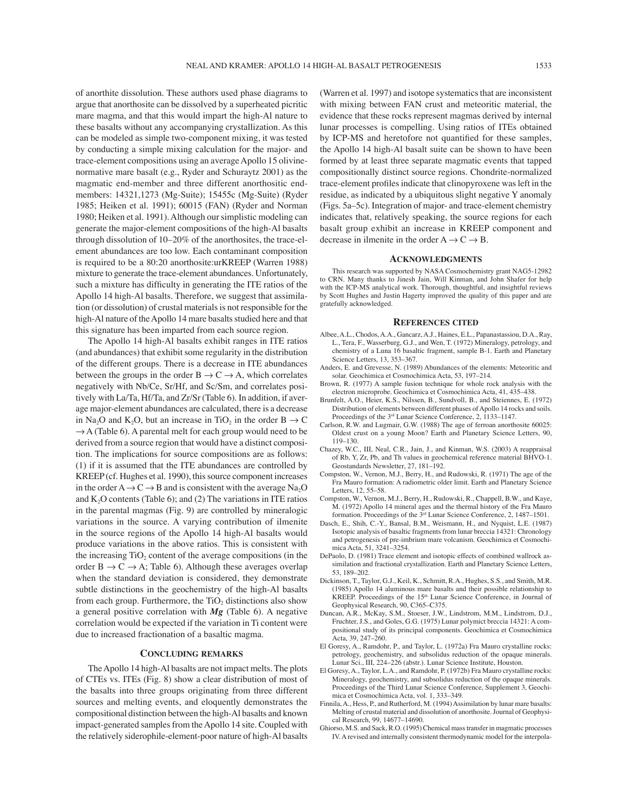of anorthite dissolution. These authors used phase diagrams to argue that anorthosite can be dissolved by a superheated picritic mare magma, and that this would impart the high-Al nature to these basalts without any accompanying crystallization. As this can be modeled as simple two-component mixing, it was tested by conducting a simple mixing calculation for the major- and trace-element compositions using an average Apollo 15 olivinenormative mare basalt (e.g., Ryder and Schuraytz 2001) as the magmatic end-member and three different anorthositic endmembers: 14321,1273 (Mg-Suite); 15455c (Mg-Suite) (Ryder 1985; Heiken et al. 1991); 60015 (FAN) (Ryder and Norman 1980; Heiken et al. 1991). Although our simplistic modeling can generate the major-element compositions of the high-Al basalts through dissolution of  $10-20\%$  of the anorthosites, the trace-element abundances are too low. Each contaminant composition is required to be a 80:20 anorthosite:urKREEP (Warren 1988) mixture to generate the trace-element abundances. Unfortunately, such a mixture has difficulty in generating the ITE ratios of the Apollo 14 high-Al basalts. Therefore, we suggest that assimilation (or dissolution) of crustal materials is not responsible for the high-Al nature of the Apollo 14 mare basalts studied here and that this signature has been imparted from each source region.

The Apollo 14 high-Al basalts exhibit ranges in ITE ratios (and abundances) that exhibit some regularity in the distribution of the different groups. There is a decrease in ITE abundances between the groups in the order  $B \to C \to A$ , which correlates negatively with Nb/Ce, Sr/Hf, and Sc/Sm, and correlates positively with La/Ta, Hf/Ta, and Zr/Sr (Table 6). In addition, if average major-element abundances are calculated, there is a decrease in Na<sub>2</sub>O and K<sub>2</sub>O, but an increase in TiO<sub>2</sub> in the order B  $\rightarrow$  C  $\rightarrow$  A (Table 6). A parental melt for each group would need to be derived from a source region that would have a distinct composition. The implications for source compositions are as follows: (1) if it is assumed that the ITE abundances are controlled by KREEP (cf. Hughes et al. 1990), this source component increases in the order  $A \rightarrow C \rightarrow B$  and is consistent with the average Na<sub>2</sub>O and  $K<sub>2</sub>O$  contents (Table 6); and (2) The variations in ITE ratios in the parental magmas (Fig. 9) are controlled by mineralogic variations in the source. A varying contribution of ilmenite in the source regions of the Apollo 14 high-Al basalts would produce variations in the above ratios. This is consistent with the increasing  $TiO<sub>2</sub>$  content of the average compositions (in the order  $B \to C \to A$ ; Table 6). Although these averages overlap when the standard deviation is considered, they demonstrate subtle distinctions in the geochemistry of the high-Al basalts from each group. Furthermore, the  $TiO<sub>2</sub>$  distinctions also show a general positive correlation with *Mg* (Table 6). A negative correlation would be expected if the variation in Ti content were due to increased fractionation of a basaltic magma.

#### **CONCLUDING REMARKS**

The Apollo 14 high-Al basalts are not impact melts. The plots of CTEs vs. ITEs (Fig. 8) show a clear distribution of most of the basalts into three groups originating from three different sources and melting events, and eloquently demonstrates the compositional distinction between the high-Al basalts and known impact-generated samples from the Apollo 14 site. Coupled with the relatively siderophile-element-poor nature of high-Al basalts

(Warren et al. 1997) and isotope systematics that are inconsistent with mixing between FAN crust and meteoritic material, the evidence that these rocks represent magmas derived by internal lunar processes is compelling. Using ratios of ITEs obtained by ICP-MS and heretofore not quantified for these samples, the Apollo 14 high-Al basalt suite can be shown to have been formed by at least three separate magmatic events that tapped compositionally distinct source regions. Chondrite-normalized trace-element profiles indicate that clinopyroxene was left in the residue, as indicated by a ubiquitous slight negative Y anomaly (Figs. 5a–5c). Integration of major- and trace-element chemistry indicates that, relatively speaking, the source regions for each basalt group exhibit an increase in KREEP component and decrease in ilmenite in the order  $A \rightarrow C \rightarrow B$ .

#### **ACKNOWLEDGMENTS**

This research was supported by NASA Cosmochemistry grant NAG5-12982 to CRN. Many thanks to Jinesh Jain, Will Kinman, and John Shafer for help with the ICP-MS analytical work. Thorough, thoughtful, and insightful reviews by Scott Hughes and Justin Hagerty improved the quality of this paper and are gratefully acknowledged.

#### **REFERENCES CITED**

- Albee, A.L., Chodos, A.A., Gancarz, A.J., Haines, E.L., Papanastassiou, D.A., Ray, L., Tera, F., Wasserburg, G.J., and Wen, T. (1972) Mineralogy, petrology, and chemistry of a Luna 16 basaltic fragment, sample B-1. Earth and Planetary Science Letters, 13, 353-367.
- Anders, E. and Grevesse, N. (1989) Abundances of the elements: Meteoritic and solar. Geochimica et Cosmochimica Acta, 53, 197-214.
- Brown, R. (1977) A sample fusion technique for whole rock analysis with the electron microprobe. Geochimica et Cosmochimica Acta, 41, 435-438.
- Brunfelt, A.O., Heier, K.S., Nilssen, B., Sundvoll, B., and Steiennes, E. (1972) Distribution of elements between different phases of Apollo 14 rocks and soils. Proceedings of the 3<sup>rd</sup> Lunar Science Conference, 2, 1133-1147.
- Carlson, R.W. and Lugmair, G.W. (1988) The age of ferroan anorthosite 60025: Oldest crust on a young Moon? Earth and Planetary Science Letters, 90, 119-130.
- Chazey, W.C., III, Neal, C.R., Jain, J., and Kinman, W.S. (2003) A reappraisal of Rb, Y, Zr, Pb, and Th values in geochemical reference material BHVO-1. Geostandards Newsletter, 27, 181-192.
- Compston, W., Vernon, M.J., Berry, H., and Rudowski, R. (1971) The age of the Fra Mauro formation: A radiometric older limit. Earth and Planetary Science Letters, 12, 55-58.
- Compston, W., Vernon, M.J., Berry, H., Rudowski, R., Chappell, B.W., and Kaye, M. (1972) Apollo 14 mineral ages and the thermal history of the Fra Mauro formation. Proceedings of the  $3<sup>rd</sup>$  Lunar Science Conference, 2, 1487–1501.
- Dasch, E., Shih, C.-Y., Bansal, B.M., Weismann, H., and Nyquist, L.E. (1987) Isotopic analysis of basaltic fragments from lunar breccia 14321: Chronology and petrogenesis of pre-imbrium mare volcanism. Geochimica et Cosmochimica Acta, 51, 3241-3254.
- DePaolo, D. (1981) Trace element and isotopic effects of combined wallrock assimilation and fractional crystallization. Earth and Planetary Science Letters, 53, 189-202.
- Dickinson, T., Taylor, G.J., Keil, K., Schmitt, R.A., Hughes, S.S., and Smith, M.R. (1985) Apollo 14 aluminous mare basalts and their possible relationship to KREEP. Proceedings of the 15<sup>th</sup> Lunar Science Conference, in Journal of Geophysical Research, 90, C365-C375.
- Duncan, A.R., McKay, S.M., Stoeser, J.W., Lindstrom, M.M., Lindstrom, D.J., Fruchter, J.S., and Goles, G.G. (1975) Lunar polymict breccia 14321: A compositional study of its principal components. Geochimica et Cosmochimica Acta, 39, 247-260.
- El Goresy, A., Ramdohr, P., and Taylor, L. (1972a) Fra Mauro crystalline rocks: petrology, geochemistry, and subsolidus reduction of the opaque minerals. Lunar Sci., III, 224-226 (abstr.). Lunar Science Institute, Houston.
- El Goresy, A., Taylor, L.A., and Ramdohr, P. (1972b) Fra Mauro crystalline rocks: Mineralogy, geochemistry, and subsolidus reduction of the opaque minerals. Proceedings of the Third Lunar Science Conference, Supplement 3, Geochimica et Cosmochimica Acta, vol. 1, 333-349.
- Finnila, A., Hess, P., and Rutherford, M. (1994) Assimilation by lunar mare basalts: Melting of crustal material and dissolution of anorthosite. Journal of Geophysical Research, 99, 14677-14690.
- Ghiorso, M.S. and Sack, R.O. (1995) Chemical mass transfer in magmatic processes IV. A revised and internally consistent thermodynamic model for the interpola-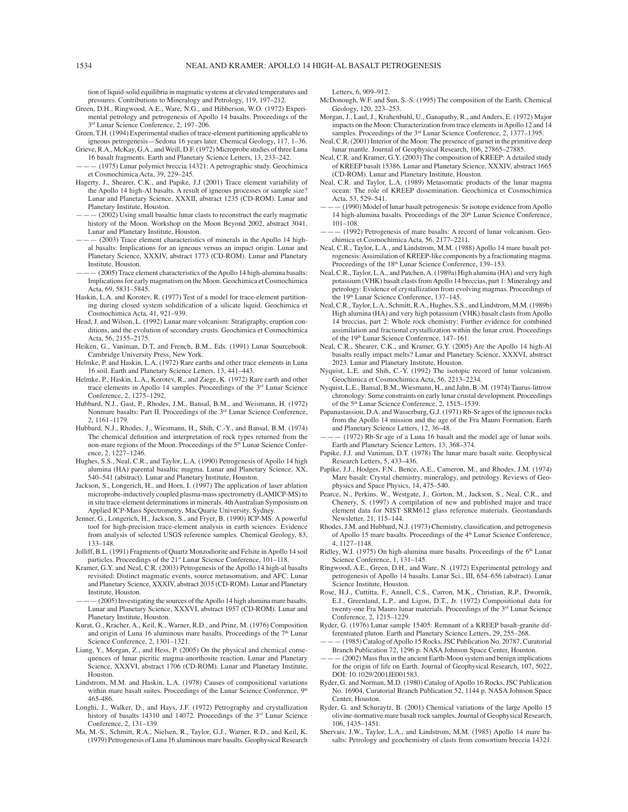tion of liquid-solid equilibria in magmatic systems at elevated temperatures and pressures. Contributions to Mineralogy and Petrology, 119, 197-212.

- Green, D.H., Ringwood, A.E., Ware, N.G., and Hibberson, W.O. (1972) Experimental petrology and petrogenesis of Apollo 14 basalts. Proceedings of the
- 3<sup>rd</sup> Lunar Science Conference, 2, 197-206. Green, T.H. (1994) Experimental studies of trace-element partitioning applicable to igneous petrogenesis—Sedona 16 years later. Chemical Geology, 117, 1–36.
- Grieve, R.A., McKay, G.A., and Weill, D.F. (1972) Microprobe studies of three Luna 16 basalt fragments. Earth and Planetary Science Letters, 13, 233–242.
- $-$  (1975) Lunar polymict breccia 14321: A petrographic study. Geochimica et Cosmochimica Acta, 39, 229-245.
- Hagerty, J., Shearer, C.K., and Papike, J.J (2001) Trace element variability of the Apollo 14 high-Al basalts. A result of igneous processes or sample size? Lunar and Planetary Science, XXXII, abstract 1235 (CD-ROM). Lunar and Planetary Institute, Houston.
- (2002) Using small basaltic lunar clasts to reconstruct the early magmatic history of the Moon. Workshop on the Moon Beyond 2002, abstract 3041. Lunar and Planetary Institute, Houston.
- (2003) Trace element characteristics of minerals in the Apollo 14 highal basalts: Implications for an igneous versus an impact origin. Lunar and Planetary Science, XXXIV, abstract 1773 (CD-ROM). Lunar and Planetary Institute, Houston.
- (2005) Trace element characteristics of the Apollo 14 high-alumina basalts: Implications for early magmatism on the Moon. Geochimica et Cosmochimica Acta, 69, 5831-5845.
- Haskin, L.A. and Korotev, R. (1977) Test of a model for trace-element partitioning during closed system solidification of a silicate liquid. Geochimica et Cosmochimica Acta, 41, 921-939.
- Head, J. and Wilson, L. (1992) Lunar mare volcanism: Stratigraphy, eruption conditions, and the evolution of secondary crusts. Geochimica et Cosmochimica Acta, 56, 2155-2175.
- Heiken, G., Vaniman, D.T, and French, B.M., Eds. (1991) Lunar Sourcebook. Cambridge University Press, New York.
- Helmke, P. and Haskin, L.A. (1972) Rare earths and other trace elements in Luna 16 soil. Earth and Planetary Science Letters, 13, 441-443.
- Helmke, P., Haskin, L.A., Korotev, R., and Ziege, K. (1972) Rare earth and other trace elements in Apollo 14 samples. Proceedings of the 3rd Lunar Science Conference, 2, 1275-1292.
- Hubbard, N.J., Gast, P., Rhodes, J.M., Bansal, B.M., and Weismann, H. (1972) Nonmare basalts: Part II. Proceedings of the 3<sup>rd</sup> Lunar Science Conference, 2, 1161-1179.
- Hubbard, N.J., Rhodes, J., Wiesmann, H., Shih, C.-Y., and Bansal, B.M. (1974) The chemical definition and interpretation of rock types returned from the non-mare regions of the Moon. Proceedings of the 5<sup>th</sup> Lunar Science Conference, 2, 1227–1246.
- Hughes, S.S., Neal, C.R., and Taylor, L.A. (1990) Petrogenesis of Apollo 14 high alumina (HA) parental basaltic magma. Lunar and Planetary Science, XX, 540–541 (abstract). Lunar and Planetary Institute, Houston.
- Jackson, S., Longerich, H., and Horn, I. (1997) The application of laser ablation microprobe-inductively coupled plasma-mass spectrometry (LAMICP-MS) to in situ trace-element determinations in minerals. 4th Australian Symposium on Applied ICP-Mass Spectrometry, MacQuarie University, Sydney.
- Jenner, G., Longerich, H., Jackson, S., and Fryer, B. (1990) ICP-MS: A powerful tool for high-precision trace-element analysis in earth sciences: Evidence from analysis of selected USGS reference samples. Chemical Geology, 83, 133-148.
- Jolliff, B.L. (1991) Fragments of Quartz Monzodiorite and Felsite in Apollo 14 soil particles. Proceedings of the 21<sup>st</sup> Lunar Science Conference, 101-118.
- Kramer, G.Y. and Neal, C.R. (2003) Petrogenesis of the Apollo 14 high-al basalts revisited: Distinct magmatic events, source metasomatism, and AFC. Lunar and Planetary Science, XXXIV, abstract 2035 (CD-ROM). Lunar and Planetary Institute, Houston.
- (2005) Investigating the sources of the Apollo 14 high alumina mare basalts. Lunar and Planetary Science, XXXVI, abstract 1957 (CD-ROM). Lunar and Planetary Institute, Houston.
- Kurat, G., Kracher, A., Keil, K., Warner, R.D., and Prinz, M. (1976) Composition and origin of Luna 16 aluminous mare basalts. Proceedings of the 7<sup>th</sup> Lunar Science Conference, 2, 1301-1321.
- Liang, Y., Morgan, Z., and Hess, P. (2005) On the physical and chemical consequences of lunar picritic magma-anorthosite reaction. Lunar and Planetary Science, XXXVI, abstract 1706 (CD-ROM). Lunar and Planetary Institute, Houston.
- Lindstrom, M.M. and Haskin, L.A. (1978) Causes of compositional variations within mare basalt suites. Proceedings of the Lunar Science Conference,  $9<sup>th</sup>$ 465-486.
- Longhi, J., Walker, D., and Hays, J.F. (1972) Petrography and crystallization history of basalts 14310 and 14072. Proceedings of the 3<sup>rd</sup> Lunar Science Conference, 2, 131-139.
- Ma, M.-S., Schmitt, R.A., Nielsen, R., Taylor, G.J., Warner, R.D., and Keil, K. (1979) Petrogenesis of Luna 16 aluminous mare basalts. Geophysical Research

Letters, 6, 909-912.

- McDonough, W.F. and Sun, S.-S. (1995) The composition of the Earth. Chemical Geology, 120, 223-253.
- Morgan, J., Laul, J., Krahenbuhl, U., Ganapathy, R., and Anders, E. (1972) Major impacts on the Moon: Characterization from trace elements in Apollo 12 and 14 samples. Proceedings of the  $3<sup>rd</sup>$  Lunar Science Conference, 2, 1377–1395.
- Neal, C.R. (2001) Interior of the Moon: The presence of garnet in the primitive deep lunar mantle. Journal of Geophysical Research, 106, 27865-27885.
- Neal, C.R. and Kramer, G.Y. (2003) The composition of KREEP: A detailed study of KREEP basalt 15386. Lunar and Planetary Science, XXXIV, abstract 1665 (CD-ROM). Lunar and Planetary Institute, Houston.
- Neal, C.R. and Taylor, L.A. (1989) Metasomatic products of the lunar magma ocean: The role of KREEP dissemination. Geochimica et Cosmochimica Acta, 53, 529-541.
- óóó (1990) Model of lunar basalt petrogenesis: Sr isotope evidence from Apollo 14 high-alumina basalts. Proceedings of the 20<sup>th</sup> Lunar Science Conference, 101-108
- (1992) Petrogenesis of mare basalts: A record of lunar volcanism. Geochimica et Cosmochimica Acta, 56, 2177-2211.
- Neal, C.R., Taylor, L.A., and Lindstrom, M.M. (1988) Apollo 14 mare basalt petrogenesis: Assimilation of KREEP-like components by a fractionating magma. Proceedings of the 18<sup>th</sup> Lunar Science Conference, 139-153.
- Neal, C.R., Taylor, L.A., and Patchen, A. (1989a) High alumina (HA) and very high potassium (VHK) basalt clasts from Apollo 14 breccias, part 1: Mineralogy and petrology: Evidence of crystallization from evolving magmas. Proceedings of the 19th Lunar Science Conference, 137-145.
- Neal, C.R., Taylor, L.A., Schmitt, R.A., Hughes, S.S., and Lindstrom, M.M. (1989b) High alumina (HA) and very high potassium (VHK) basalt clasts from Apollo 14 breccias, part 2: Whole rock chemistry: Further evidence for combined assimilation and fractional crystallization within the lunar crust. Proceedings of the 19<sup>th</sup> Lunar Science Conference, 147-161.
- Neal, C.R., Shearer, C.K., and Kramer, G.Y. (2005) Are the Apollo 14 high-Al basalts really impact melts? Lunar and Planetary Science, XXXVI, abstract 2023. Lunar and Planetary Institute, Houston.
- Nyquist, L.E. and Shih, C.-Y. (1992) The isotopic record of lunar volcanism. Geochimica et Cosmochimica Acta, 56, 2213-2234.
- Nyquist, L.E., Bansal, B.M., Wiesmann, H., and Jahn, B.-M. (1974) Taurus-littrow chronology: Some constraints on early lunar crustal development. Proceedings of the 5<sup>th</sup> Lunar Science Conference, 2, 1515-1539.
- Papanastassiou, D.A. and Wasserburg, G.J. (1971) Rb-Sr ages of the igneous rocks from the Apollo 14 mission and the age of the Fra Mauro Formation. Earth and Planetary Science Letters, 12, 36-48.
- (1972) Rb-Sr age of a Luna 16 basalt and the model age of lunar soils. Earth and Planetary Science Letters, 13, 368-374.
- Papike, J.J. and Vaniman, D.T. (1978) The lunar mare basalt suite. Geophysical Research Letters, 5, 433-436.
- Papike, J.J., Hodges, F.N., Bence, A.E., Cameron, M., and Rhodes, J.M. (1974) Mare basalt: Crystal chemistry, mineralogy, and petrology. Reviews of Geophysics and Space Physics, 14, 475-540.
- Pearce, N., Perkins, W., Westgate, J., Gorton, M., Jackson, S., Neal, C.R., and Chenery, S. (1997) A compilation of new and published major and trace element data for NIST SRM612 glass reference materials. Geostandards Newsletter, 21, 115-144.
- Rhodes, J.M. and Hubbard, N.J. (1973) Chemistry, classification, and petrogenesis of Apollo 15 mare basalts. Proceedings of the 4<sup>th</sup> Lunar Science Conference, 4, 1127-1148.
- Ridley, W.I. (1975) On high-alumina mare basalts. Proceedings of the 6<sup>th</sup> Lunar Science Conference, 1, 131-145.
- Ringwood, A.E., Green, D.H., and Ware, N. (1972) Experimental petrology and petrogenesis of Apollo 14 basalts. Lunar Sci., III, 654-656 (abstract). Lunar Science Institute, Houston.
- Rose, H.J., Cuttitta, F., Annell, C.S., Carron, M.K., Christian, R.P., Dwornik, E.J., Greenland, L.P., and Ligon, D.T., Jr. (1972) Compositional data for twenty-one Fra Mauro lunar materials. Proceedings of the 3rd Lunar Science Conference, 2, 1215-1229.
- Ryder, G. (1976) Lunar sample 15405: Remnant of a KREEP basalt-granite differentiated pluton. Earth and Planetary Science Letters, 29, 255-268.
- óóó (1985) Catalog of Apollo 15 Rocks. JSC Publication No. 20787, Curatorial Branch Publication 72, 1296 p. NASA Johnson Space Center, Houston.
- $(2002)$  Mass flux in the ancient Earth-Moon system and benign implications for the origin of life on Earth. Journal of Geophysical Research, 107, 5022, DOI: 10.1029/2001JE001583.
- Ryder, G. and Norman, M.D. (1980) Catalog of Apollo 16 Rocks. JSC Publication No. 16904, Curatorial Branch Publication 52, 1144 p. NASA Johnson Space Center, Houston.
- Ryder, G. and Schuraytz, B. (2001) Chemical variations of the large Apollo 15 olivine-normative mare basalt rock samples. Journal of Geophysical Research,  $106.1435 - 1451.$
- Shervais, J.W., Taylor, L.A., and Lindstrom, M.M. (1985) Apollo 14 mare basalts: Petrology and geochemistry of clasts from consortium breccia 14321.